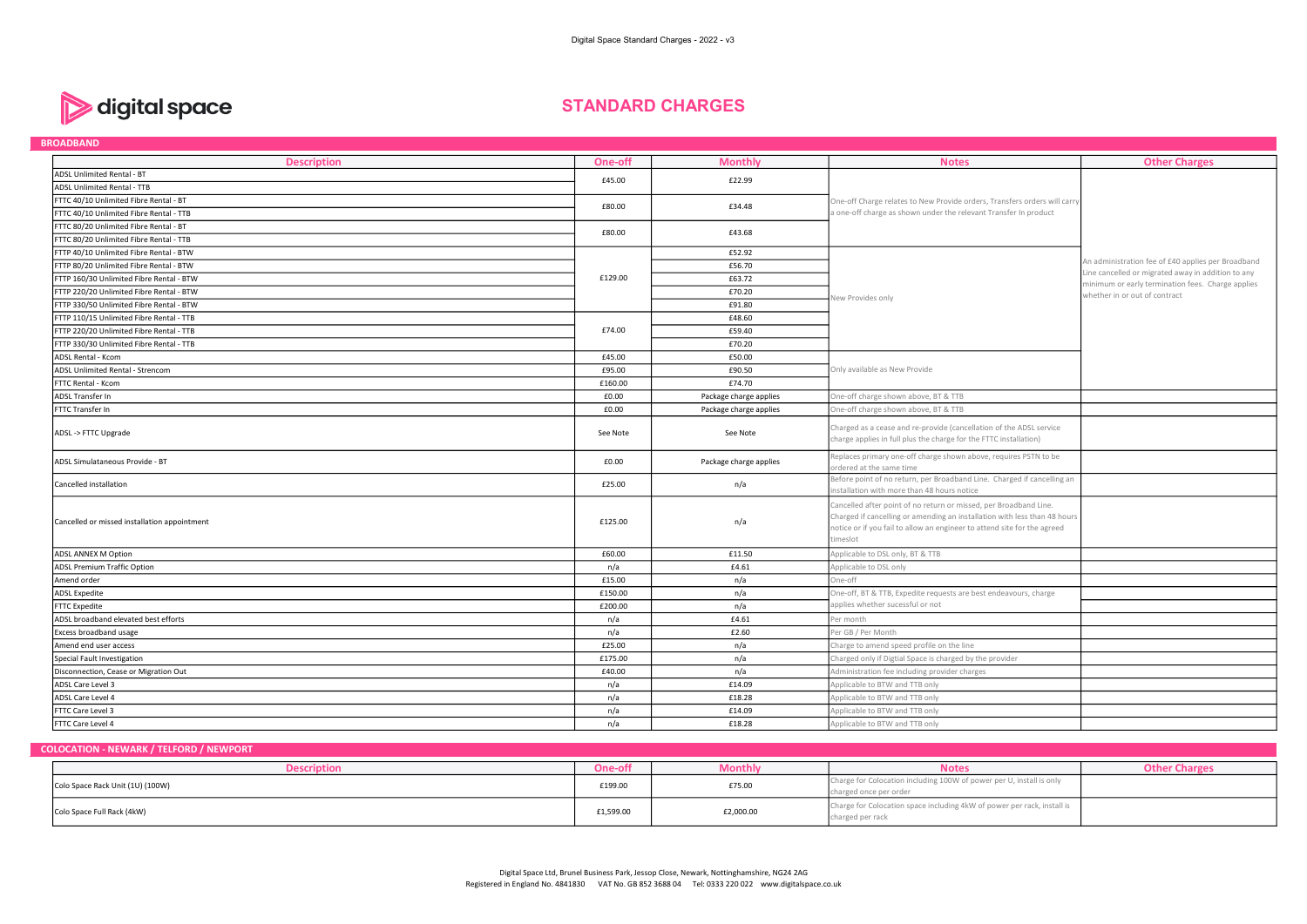

# STANDARD CHARGES

| <b>BROADBAND</b>                             |          |                        |                                                                                                                                                                                                                                        |                                                                                                         |
|----------------------------------------------|----------|------------------------|----------------------------------------------------------------------------------------------------------------------------------------------------------------------------------------------------------------------------------------|---------------------------------------------------------------------------------------------------------|
| <b>Description</b>                           | One-off  | <b>Monthly</b>         | <b>Notes</b>                                                                                                                                                                                                                           | <b>Other Charges</b>                                                                                    |
| ADSL Unlimited Rental - BT                   | £45.00   | £22.99                 |                                                                                                                                                                                                                                        |                                                                                                         |
| <b>ADSL Unlimited Rental - TTB</b>           |          |                        |                                                                                                                                                                                                                                        |                                                                                                         |
| FTTC 40/10 Unlimited Fibre Rental - BT       | £80.00   | £34.48                 | One-off Charge relates to New Provide orders, Transfers orders will carry                                                                                                                                                              |                                                                                                         |
| FTTC 40/10 Unlimited Fibre Rental - TTB      |          |                        | a one-off charge as shown under the relevant Transfer In product                                                                                                                                                                       |                                                                                                         |
| FTTC 80/20 Unlimited Fibre Rental - BT       | £80.00   | £43.68                 |                                                                                                                                                                                                                                        |                                                                                                         |
| FTTC 80/20 Unlimited Fibre Rental - TTB      |          |                        |                                                                                                                                                                                                                                        |                                                                                                         |
| FTTP 40/10 Unlimited Fibre Rental - BTW      |          | £52.92                 |                                                                                                                                                                                                                                        |                                                                                                         |
| FTTP 80/20 Unlimited Fibre Rental - BTW      |          | £56.70                 |                                                                                                                                                                                                                                        | An administration fee of £40 applies per Broadband                                                      |
| FTTP 160/30 Unlimited Fibre Rental - BTW     | £129.00  | £63.72                 |                                                                                                                                                                                                                                        | Line cancelled or migrated away in addition to any<br>minimum or early termination fees. Charge applies |
| FTTP 220/20 Unlimited Fibre Rental - BTW     |          | £70.20                 |                                                                                                                                                                                                                                        | whether in or out of contract                                                                           |
| FTTP 330/50 Unlimited Fibre Rental - BTW     |          | £91.80                 | New Provides only                                                                                                                                                                                                                      |                                                                                                         |
| FTTP 110/15 Unlimited Fibre Rental - TTB     |          | £48.60                 |                                                                                                                                                                                                                                        |                                                                                                         |
| FTTP 220/20 Unlimited Fibre Rental - TTB     | £74.00   | £59.40                 |                                                                                                                                                                                                                                        |                                                                                                         |
| FTTP 330/30 Unlimited Fibre Rental - TTB     |          | £70.20                 |                                                                                                                                                                                                                                        |                                                                                                         |
| <b>ADSL Rental - Kcom</b>                    | £45.00   | £50.00                 |                                                                                                                                                                                                                                        |                                                                                                         |
| ADSL Unlimited Rental - Strencom             | £95.00   | £90.50                 | Only available as New Provide                                                                                                                                                                                                          |                                                                                                         |
| <b>FTTC Rental - Kcom</b>                    | £160.00  | £74.70                 |                                                                                                                                                                                                                                        |                                                                                                         |
| ADSL Transfer In                             | £0.00    | Package charge applies | One-off charge shown above, BT & TTB                                                                                                                                                                                                   |                                                                                                         |
| FTTC Transfer In                             | £0.00    | Package charge applies | One-off charge shown above, BT & TTB                                                                                                                                                                                                   |                                                                                                         |
| ADSL -> FTTC Upgrade                         | See Note | See Note               | Charged as a cease and re-provide (cancellation of the ADSL service<br>charge applies in full plus the charge for the FTTC installation)                                                                                               |                                                                                                         |
| ADSL Simulataneous Provide - BT              | £0.00    | Package charge applies | Replaces primary one-off charge shown above, requires PSTN to be<br>ordered at the same time                                                                                                                                           |                                                                                                         |
| Cancelled installation                       | £25.00   | n/a                    | Before point of no return, per Broadband Line. Charged if cancelling an<br>installation with more than 48 hours notice                                                                                                                 |                                                                                                         |
| Cancelled or missed installation appointment | £125.00  | n/a                    | Cancelled after point of no return or missed, per Broadband Line.<br>Charged if cancelling or amending an installation with less than 48 hours<br>notice or if you fail to allow an engineer to attend site for the agreed<br>timeslot |                                                                                                         |
| ADSL ANNEX M Option                          | £60.00   | £11.50                 | Applicable to DSL only, BT & TTB                                                                                                                                                                                                       |                                                                                                         |
| <b>ADSL Premium Traffic Option</b>           | n/a      | £4.61                  | Applicable to DSL only                                                                                                                                                                                                                 |                                                                                                         |
| Amend order                                  | £15.00   | n/a                    | One-off                                                                                                                                                                                                                                |                                                                                                         |
| <b>ADSL Expedite</b>                         | £150.00  | n/a                    | One-off, BT & TTB, Expedite requests are best endeavours, charge                                                                                                                                                                       |                                                                                                         |
| <b>FTTC Expedite</b>                         | £200.00  | n/a                    | applies whether sucessful or not                                                                                                                                                                                                       |                                                                                                         |
| ADSL broadband elevated best efforts         | n/a      | £4.61                  | Per month                                                                                                                                                                                                                              |                                                                                                         |
| Excess broadband usage                       | n/a      | £2.60                  | Per GB / Per Month                                                                                                                                                                                                                     |                                                                                                         |
| Amend end user access                        | £25.00   | n/a                    | Charge to amend speed profile on the line                                                                                                                                                                                              |                                                                                                         |
| Special Fault Investigation                  | £175.00  | n/a                    | Charged only if Digtial Space is charged by the provider                                                                                                                                                                               |                                                                                                         |
| Disconnection, Cease or Migration Out        | £40.00   | n/a                    | Administration fee including provider charges                                                                                                                                                                                          |                                                                                                         |
| ADSL Care Level 3                            | n/a      | £14.09                 | Applicable to BTW and TTB only                                                                                                                                                                                                         |                                                                                                         |
| ADSL Care Level 4                            | n/a      | £18.28                 | Applicable to BTW and TTB only                                                                                                                                                                                                         |                                                                                                         |
| FTTC Care Level 3                            | n/a      | £14.09                 | Applicable to BTW and TTB only                                                                                                                                                                                                         |                                                                                                         |
| FTTC Care Level 4                            | n/a      | £18.28                 | Applicable to BTW and TTB only                                                                                                                                                                                                         |                                                                                                         |

#### COLOCATION - NEWARK / TELFORD / NEWPORT

| <b>Description</b>               | One-off   | Monthiv                        | <b>Notes</b>                                                                                   |  |
|----------------------------------|-----------|--------------------------------|------------------------------------------------------------------------------------------------|--|
| Colo Space Rack Unit (1U) (100W) | £199.00   | £75.00<br>$\sim$ $\sim$ $\sim$ | Charge for Colocation including 100W of power per U, install is only<br>charged once per order |  |
| Colo Space Full Rack (4kW)       | £1,599.00 | £2,000.00                      | Charge for Colocation space including 4kW of power per rack, install is<br>charged per rack    |  |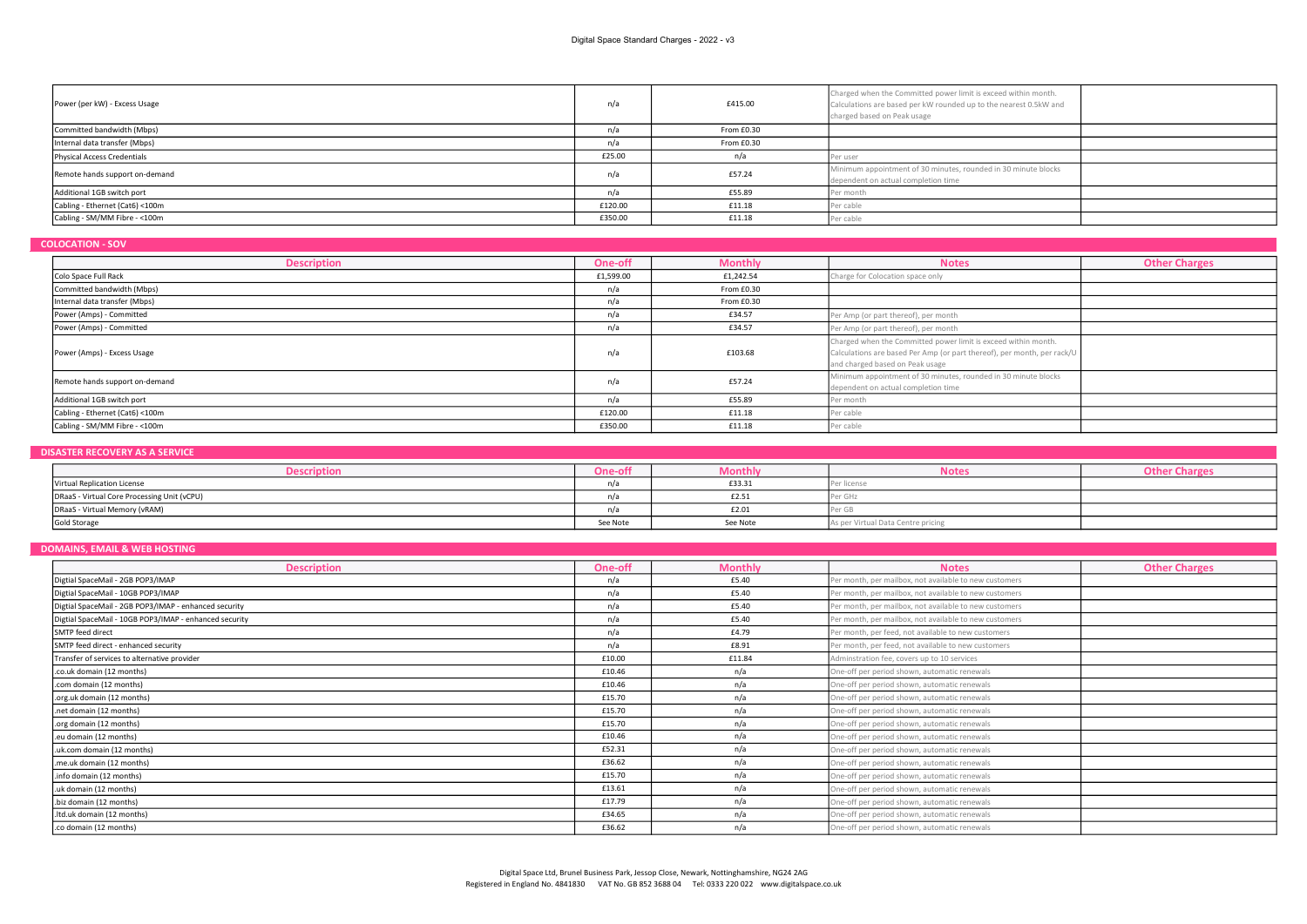| Power (per kW) - Excess Usage   | n/a     | £415.00    | Charged when the Committed power limit is exceed within month.<br>Calculations are based per kW rounded up to the nearest 0.5kW and<br>charged based on Peak usage |  |
|---------------------------------|---------|------------|--------------------------------------------------------------------------------------------------------------------------------------------------------------------|--|
| Committed bandwidth (Mbps)      | n/a     | From £0.30 |                                                                                                                                                                    |  |
| Internal data transfer (Mbps)   | n/a     | From £0.30 |                                                                                                                                                                    |  |
| Physical Access Credentials     | £25.00  | n/a        | er user                                                                                                                                                            |  |
| Remote hands support on-demand  | n/a     | £57.24     | Minimum appointment of 30 minutes, rounded in 30 minute blocks<br>dependent on actual completion time                                                              |  |
| Additional 1GB switch port      | n/a     | £55.89     | Per month                                                                                                                                                          |  |
| Cabling - Ethernet (Cat6) <100m | £120.00 | £11.18     | Per cable                                                                                                                                                          |  |
| Cabling - SM/MM Fibre - < 100m  | £350.00 | £11.18     | Per cable                                                                                                                                                          |  |

# COLOCATION - SOV

| <b>Description</b>              | One-off   | <b>Monthly</b> | <b>Notes</b>                                                                                                                                                                 | <b>Other Charges</b> |
|---------------------------------|-----------|----------------|------------------------------------------------------------------------------------------------------------------------------------------------------------------------------|----------------------|
| Colo Space Full Rack            | £1,599.00 | £1,242.54      | Charge for Colocation space only                                                                                                                                             |                      |
| Committed bandwidth (Mbps)      | n/a       | From £0.30     |                                                                                                                                                                              |                      |
| Internal data transfer (Mbps)   | n/a       | From £0.30     |                                                                                                                                                                              |                      |
| Power (Amps) - Committed        | n/a       | £34.57         | Per Amp (or part thereof), per month                                                                                                                                         |                      |
| Power (Amps) - Committed        | n/a       | £34.57         | Per Amp (or part thereof), per month                                                                                                                                         |                      |
| Power (Amps) - Excess Usage     | n/a       | £103.68        | Charged when the Committed power limit is exceed within month.<br>Calculations are based Per Amp (or part thereof), per month, per rack/U<br>and charged based on Peak usage |                      |
| Remote hands support on-demand  | n/a       | £57.24         | Minimum appointment of 30 minutes, rounded in 30 minute blocks<br>dependent on actual completion time                                                                        |                      |
| Additional 1GB switch port      | n/a       | £55.89         | Per month                                                                                                                                                                    |                      |
| Cabling - Ethernet (Cat6) <100m | £120.00   | £11.18         | Per cable                                                                                                                                                                    |                      |
| Cabling - SM/MM Fibre - < 100m  | £350.00   | £11.18         | Per cable                                                                                                                                                                    |                      |

# DISASTER RECOVERY AS A SERVICE

| Descriptio                                  | <b>One-off</b> | .viontn»: | Notes                              |  |
|---------------------------------------------|----------------|-----------|------------------------------------|--|
| Virtual Replication License                 |                | £33.31    | licens                             |  |
| DRaaS - Virtual Core Processing Unit (vCPU) |                | £2.51     |                                    |  |
| DRaaS - Virtual Memory (vRAM)               |                | £2.01     |                                    |  |
| Gold Storage                                | See Note       | See Note  | As per Virtual Data Centre pricing |  |

# DOMAINS, EMAIL & WEB HOSTING

| <b>Description</b>                                     | One-off | <b>Monthly</b> | <b>Notes</b>                                           | <b>Other Charges</b> |
|--------------------------------------------------------|---------|----------------|--------------------------------------------------------|----------------------|
| Digtial SpaceMail - 2GB POP3/IMAP                      | n/a     | £5.40          | Per month, per mailbox, not available to new customers |                      |
| Digtial SpaceMail - 10GB POP3/IMAP                     | n/a     | £5.40          | Per month, per mailbox, not available to new customers |                      |
| Digtial SpaceMail - 2GB POP3/IMAP - enhanced security  | n/a     | £5.40          | Per month, per mailbox, not available to new customers |                      |
| Digtial SpaceMail - 10GB POP3/IMAP - enhanced security | n/a     | £5.40          | Per month, per mailbox, not available to new customers |                      |
| SMTP feed direct                                       | n/a     | £4.79          | Per month, per feed, not available to new customers    |                      |
| SMTP feed direct - enhanced security                   | n/a     | £8.91          | Per month, per feed, not available to new customers    |                      |
| Transfer of services to alternative provider           | £10.00  | £11.84         | Adminstration fee, covers up to 10 services            |                      |
| .co.uk domain (12 months)                              | £10.46  | n/a            | One-off per period shown, automatic renewals           |                      |
| .com domain (12 months)                                | £10.46  | n/a            | One-off per period shown, automatic renewals           |                      |
| .org.uk domain (12 months)                             | £15.70  | n/a            | One-off per period shown, automatic renewals           |                      |
| .net domain (12 months)                                | £15.70  | n/a            | One-off per period shown, automatic renewals           |                      |
| .org domain (12 months)                                | £15.70  | n/a            | One-off per period shown, automatic renewals           |                      |
| .eu domain (12 months)                                 | £10.46  | n/a            | One-off per period shown, automatic renewals           |                      |
| .uk.com domain (12 months)                             | £52.31  | n/a            | One-off per period shown, automatic renewals           |                      |
| .me.uk domain (12 months)                              | £36.62  | n/a            | One-off per period shown, automatic renewals           |                      |
| .info domain (12 months)                               | £15.70  | n/a            | One-off per period shown, automatic renewals           |                      |
| .uk domain (12 months)                                 | £13.61  | n/a            | One-off per period shown, automatic renewals           |                      |
| .biz domain (12 months)                                | £17.79  | n/a            | One-off per period shown, automatic renewals           |                      |
| .ltd.uk domain (12 months)                             | £34.65  | n/a            | One-off per period shown, automatic renewals           |                      |
| .co domain (12 months)                                 | £36.62  | n/a            | One-off per period shown, automatic renewals           |                      |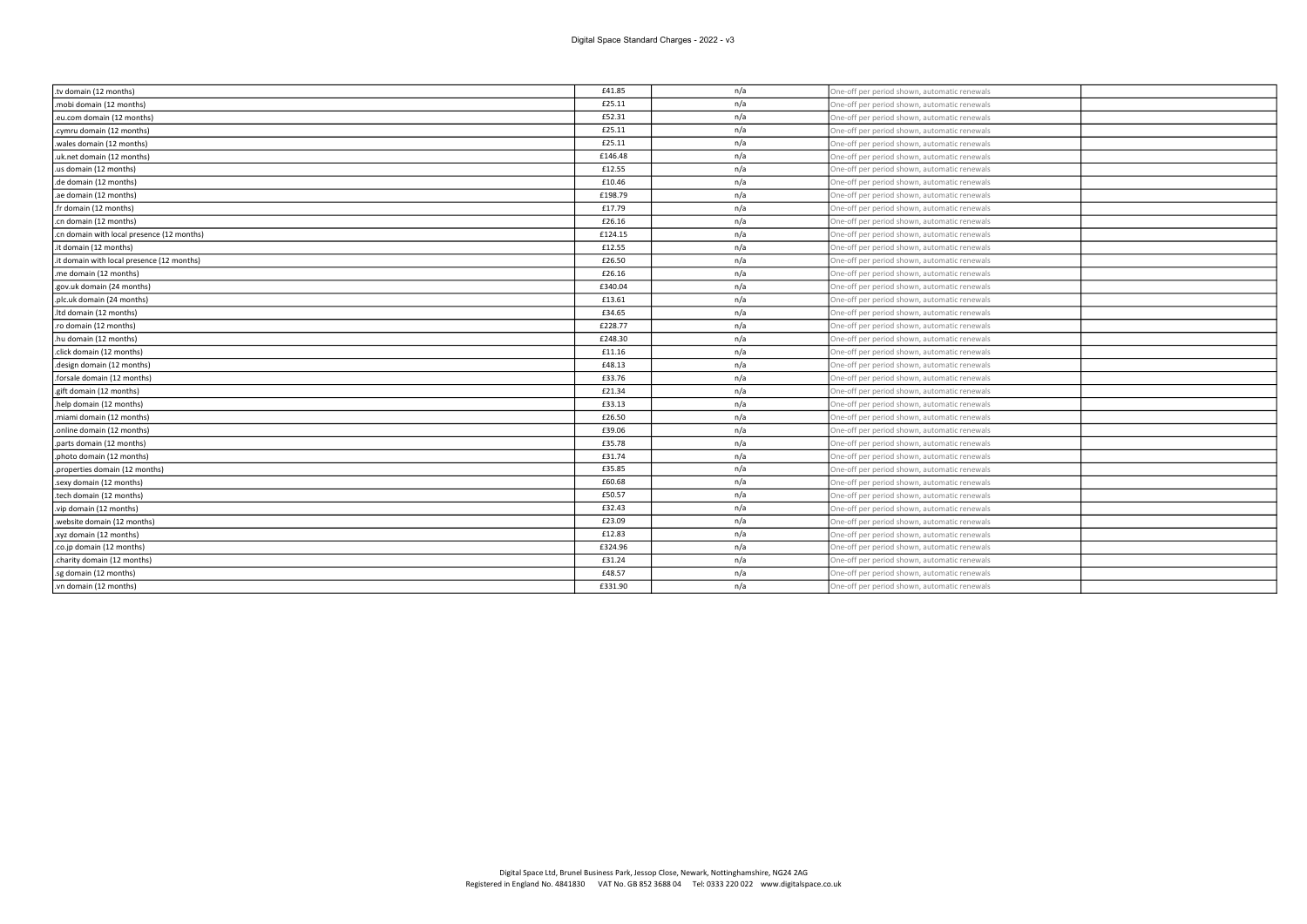| .tv domain (12 months)                     | £41.85  | n/a | One-off per period shown, automatic renewals |  |
|--------------------------------------------|---------|-----|----------------------------------------------|--|
| .mobi domain (12 months)                   | £25.11  | n/a | One-off per period shown, automatic renewals |  |
| .eu.com domain (12 months)                 | £52.31  | n/a | One-off per period shown, automatic renewals |  |
| .cymru domain (12 months)                  | £25.11  | n/a | One-off per period shown, automatic renewals |  |
| wales domain (12 months).                  | £25.11  | n/a | One-off per period shown, automatic renewals |  |
| .uk.net domain (12 months)                 | £146.48 | n/a | One-off per period shown, automatic renewals |  |
| .us domain (12 months)                     | £12.55  | n/a | One-off per period shown, automatic renewals |  |
| .de domain (12 months)                     | £10.46  | n/a | One-off per period shown, automatic renewals |  |
| .ae domain (12 months)                     | £198.79 | n/a | One-off per period shown, automatic renewals |  |
| .fr domain (12 months)                     | £17.79  | n/a | One-off per period shown, automatic renewals |  |
| .cn domain (12 months)                     | £26.16  | n/a | One-off per period shown, automatic renewals |  |
| .cn domain with local presence (12 months) | £124.15 | n/a | One-off per period shown, automatic renewals |  |
| .it domain (12 months)                     | £12.55  | n/a | One-off per period shown, automatic renewals |  |
| .it domain with local presence (12 months) | £26.50  | n/a | One-off per period shown, automatic renewals |  |
| .me domain (12 months)                     | £26.16  | n/a | One-off per period shown, automatic renewals |  |
| .gov.uk domain (24 months)                 | £340.04 | n/a | One-off per period shown, automatic renewals |  |
| .plc.uk domain (24 months)                 | £13.61  | n/a | One-off per period shown, automatic renewals |  |
| .ltd domain (12 months)                    | £34.65  | n/a | One-off per period shown, automatic renewals |  |
| .ro domain (12 months)                     | £228.77 | n/a | One-off per period shown, automatic renewals |  |
| .hu domain (12 months)                     | £248.30 | n/a | One-off per period shown, automatic renewals |  |
| .click domain (12 months)                  | £11.16  | n/a | One-off per period shown, automatic renewals |  |
| .design domain (12 months)                 | £48.13  | n/a | One-off per period shown, automatic renewals |  |
| forsale domain (12 months).                | £33.76  | n/a | One-off per period shown, automatic renewals |  |
| .gift domain (12 months)                   | £21.34  | n/a | One-off per period shown, automatic renewals |  |
| help domain (12 months)                    | £33.13  | n/a | One-off per period shown, automatic renewals |  |
| .miami domain (12 months)                  | £26.50  | n/a | One-off per period shown, automatic renewals |  |
| .online domain (12 months)                 | £39.06  | n/a | One-off per period shown, automatic renewals |  |
| .parts domain (12 months)                  | £35.78  | n/a | One-off per period shown, automatic renewals |  |
| .photo domain (12 months)                  | £31.74  | n/a | One-off per period shown, automatic renewals |  |
| .properties domain (12 months)             | £35.85  | n/a | One-off per period shown, automatic renewals |  |
| .sexy domain (12 months)                   | £60.68  | n/a | One-off per period shown, automatic renewals |  |
| tech domain (12 months).                   | £50.57  | n/a | One-off per period shown, automatic renewals |  |
| .vip domain (12 months)                    | £32.43  | n/a | One-off per period shown, automatic renewals |  |
| website domain (12 months).                | £23.09  | n/a | One-off per period shown, automatic renewals |  |
| .xyz domain (12 months)                    | £12.83  | n/a | One-off per period shown, automatic renewals |  |
| .co.jp domain (12 months)                  | £324.96 | n/a | One-off per period shown, automatic renewals |  |
| .charity domain (12 months)                | £31.24  | n/a | One-off per period shown, automatic renewals |  |
| .sg domain (12 months)                     | £48.57  | n/a | One-off per period shown, automatic renewals |  |
| .vn domain (12 months)                     | £331.90 | n/a | One-off per period shown, automatic renewals |  |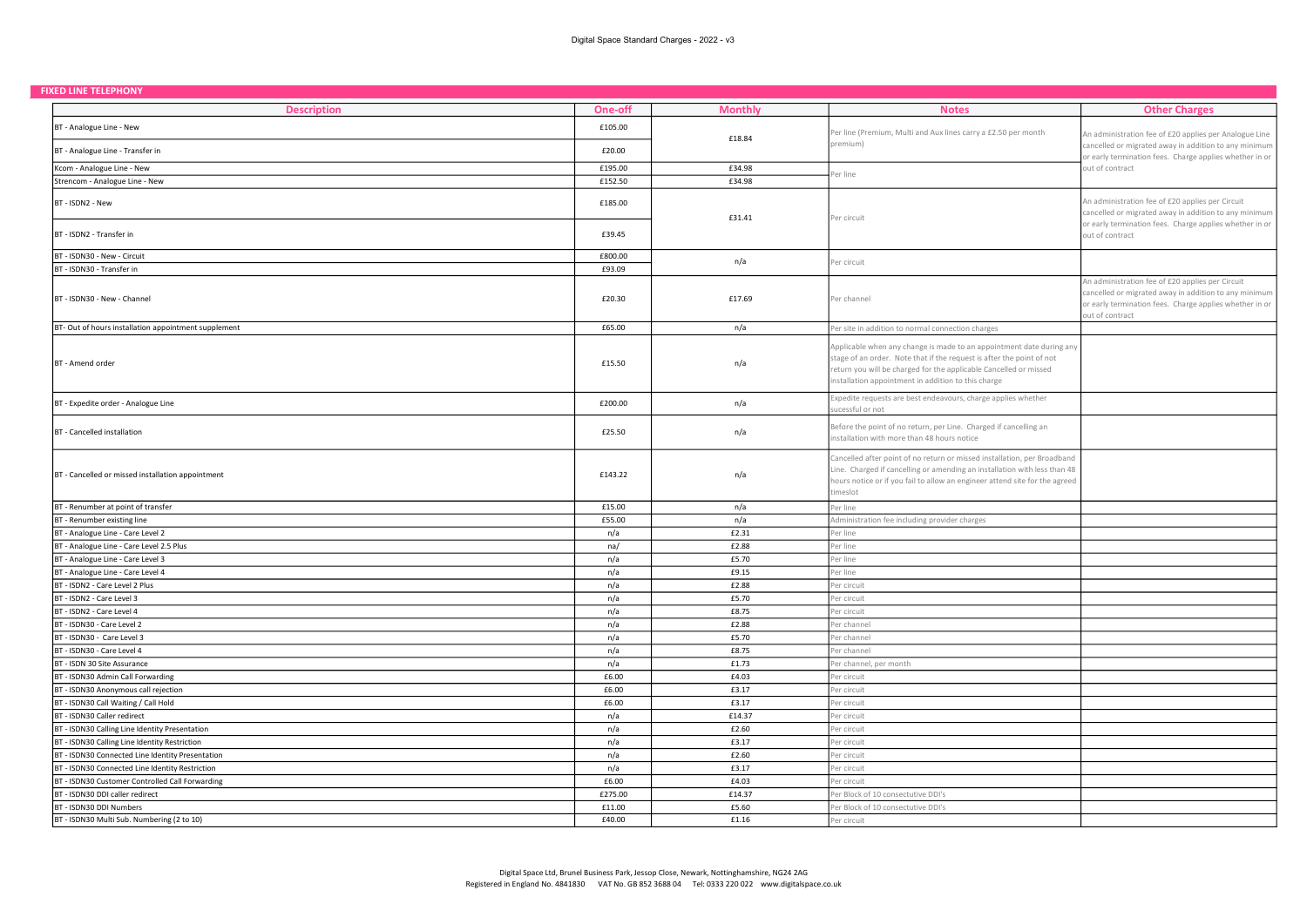| <b>FIXED LINE TELEPHONY</b> |  |  |
|-----------------------------|--|--|
|                             |  |  |

| 'IAED LIIVE TELEPHUIVI                               |         |                |                                                                                                                                                                                                                                                                           |                                                                                                                                                                                         |
|------------------------------------------------------|---------|----------------|---------------------------------------------------------------------------------------------------------------------------------------------------------------------------------------------------------------------------------------------------------------------------|-----------------------------------------------------------------------------------------------------------------------------------------------------------------------------------------|
| <b>Description</b>                                   | One-off | <b>Monthly</b> | <b>Notes</b>                                                                                                                                                                                                                                                              | <b>Other Charges</b>                                                                                                                                                                    |
| BT - Analogue Line - New                             | £105.00 | £18.84         | Per line (Premium, Multi and Aux lines carry a £2.50 per month                                                                                                                                                                                                            | An administration fee of £20 applies per Analogue Line                                                                                                                                  |
| BT - Analogue Line - Transfer in                     | £20.00  |                | premium)                                                                                                                                                                                                                                                                  | cancelled or migrated away in addition to any minimum<br>or early termination fees. Charge applies whether in or                                                                        |
| Kcom - Analogue Line - New                           | £195.00 | £34.98         | Per line                                                                                                                                                                                                                                                                  | out of contract                                                                                                                                                                         |
| Strencom - Analogue Line - New                       | £152.50 | £34.98         |                                                                                                                                                                                                                                                                           |                                                                                                                                                                                         |
| BT - ISDN2 - New                                     | £185.00 | £31.41         | Per circuit                                                                                                                                                                                                                                                               | An administration fee of £20 applies per Circuit<br>cancelled or migrated away in addition to any minimum                                                                               |
| BT - ISDN2 - Transfer in                             | £39.45  |                |                                                                                                                                                                                                                                                                           | or early termination fees. Charge applies whether in or<br>out of contract                                                                                                              |
| BT - ISDN30 - New - Circuit                          | £800.00 | n/a            | Per circuit                                                                                                                                                                                                                                                               |                                                                                                                                                                                         |
| BT - ISDN30 - Transfer in                            | £93.09  |                |                                                                                                                                                                                                                                                                           |                                                                                                                                                                                         |
| BT - ISDN30 - New - Channel                          | £20.30  | £17.69         | Per channel                                                                                                                                                                                                                                                               | An administration fee of £20 applies per Circuit<br>cancelled or migrated away in addition to any minimum<br>or early termination fees. Charge applies whether in or<br>out of contract |
| BT- Out of hours installation appointment supplement | £65.00  | n/a            | Per site in addition to normal connection charges                                                                                                                                                                                                                         |                                                                                                                                                                                         |
| BT - Amend order                                     | £15.50  | n/a            | Applicable when any change is made to an appointment date during any<br>stage of an order. Note that if the request is after the point of not<br>return you will be charged for the applicable Cancelled or missed<br>installation appointment in addition to this charge |                                                                                                                                                                                         |
| BT - Expedite order - Analogue Line                  | £200.00 | n/a            | Expedite requests are best endeavours, charge applies whether<br>ucessful or not                                                                                                                                                                                          |                                                                                                                                                                                         |
| BT - Cancelled installation                          | £25.50  | n/a            | Before the point of no return, per Line. Charged if cancelling an<br>nstallation with more than 48 hours notice                                                                                                                                                           |                                                                                                                                                                                         |
| BT - Cancelled or missed installation appointment    | £143.22 | n/a            | Cancelled after point of no return or missed installation, per Broadband<br>Line. Charged if cancelling or amending an installation with less than 48<br>hours notice or if you fail to allow an engineer attend site for the agreed<br>timeslot                          |                                                                                                                                                                                         |
| BT - Renumber at point of transfer                   | £15.00  | n/a            | Per line                                                                                                                                                                                                                                                                  |                                                                                                                                                                                         |
| BT - Renumber existing line                          | £55.00  | n/a            | Administration fee including provider charges                                                                                                                                                                                                                             |                                                                                                                                                                                         |
| BT - Analogue Line - Care Level 2                    | n/a     | £2.31          | Per line                                                                                                                                                                                                                                                                  |                                                                                                                                                                                         |
| BT - Analogue Line - Care Level 2.5 Plus             | na/     | £2.88          | Per line                                                                                                                                                                                                                                                                  |                                                                                                                                                                                         |
| BT - Analogue Line - Care Level 3                    | n/a     | £5.70          | Per line                                                                                                                                                                                                                                                                  |                                                                                                                                                                                         |
| BT - Analogue Line - Care Level 4                    | n/a     | £9.15          | Per line                                                                                                                                                                                                                                                                  |                                                                                                                                                                                         |
| BT - ISDN2 - Care Level 2 Plus                       | n/a     | £2.88          | Per circuit                                                                                                                                                                                                                                                               |                                                                                                                                                                                         |
| BT - ISDN2 - Care Level 3                            | n/a     | £5.70          | Per circuit                                                                                                                                                                                                                                                               |                                                                                                                                                                                         |
| BT - ISDN2 - Care Level 4                            | n/a     | £8.75          | Per circuit                                                                                                                                                                                                                                                               |                                                                                                                                                                                         |
| BT - ISDN30 - Care Level 2                           | n/a     | £2.88          | Per channel                                                                                                                                                                                                                                                               |                                                                                                                                                                                         |
| BT - ISDN30 - Care Level 3                           | n/a     | £5.70          | Per channel                                                                                                                                                                                                                                                               |                                                                                                                                                                                         |
| BT - ISDN30 - Care Level 4                           | n/a     | £8.75          | Per channel                                                                                                                                                                                                                                                               |                                                                                                                                                                                         |
| BT - ISDN 30 Site Assurance                          | n/a     | £1.73          | Per channel, per month                                                                                                                                                                                                                                                    |                                                                                                                                                                                         |
| BT - ISDN30 Admin Call Forwarding                    | £6.00   | £4.03          | Per circuit                                                                                                                                                                                                                                                               |                                                                                                                                                                                         |
| BT - ISDN30 Anonymous call rejection                 | £6.00   | £3.17          | Per circuit                                                                                                                                                                                                                                                               |                                                                                                                                                                                         |
| BT - ISDN30 Call Waiting / Call Hold                 | £6.00   | £3.17          | Per circuit                                                                                                                                                                                                                                                               |                                                                                                                                                                                         |
| BT - ISDN30 Caller redirect                          | n/a     | £14.37         | Per circuit                                                                                                                                                                                                                                                               |                                                                                                                                                                                         |
| BT - ISDN30 Calling Line Identity Presentation       | n/a     | £2.60          | Per circuit                                                                                                                                                                                                                                                               |                                                                                                                                                                                         |
| BT - ISDN30 Calling Line Identity Restriction        | n/a     | £3.17          | Per circuit                                                                                                                                                                                                                                                               |                                                                                                                                                                                         |
| BT - ISDN30 Connected Line Identity Presentation     | n/a     | £2.60          | Per circuit                                                                                                                                                                                                                                                               |                                                                                                                                                                                         |
| BT - ISDN30 Connected Line Identity Restriction      | n/a     | £3.17          | Per circuit                                                                                                                                                                                                                                                               |                                                                                                                                                                                         |
| BT - ISDN30 Customer Controlled Call Forwarding      | £6.00   | £4.03          | Per circuit                                                                                                                                                                                                                                                               |                                                                                                                                                                                         |
| BT - ISDN30 DDI caller redirect                      | £275.00 | £14.37         | Per Block of 10 consectutive DDI's                                                                                                                                                                                                                                        |                                                                                                                                                                                         |
| BT - ISDN30 DDI Numbers                              | £11.00  | £5.60          | Per Block of 10 consectutive DDI's                                                                                                                                                                                                                                        |                                                                                                                                                                                         |
| BT - ISDN30 Multi Sub. Numbering (2 to 10)           | £40.00  | £1.16          | Per circuit                                                                                                                                                                                                                                                               |                                                                                                                                                                                         |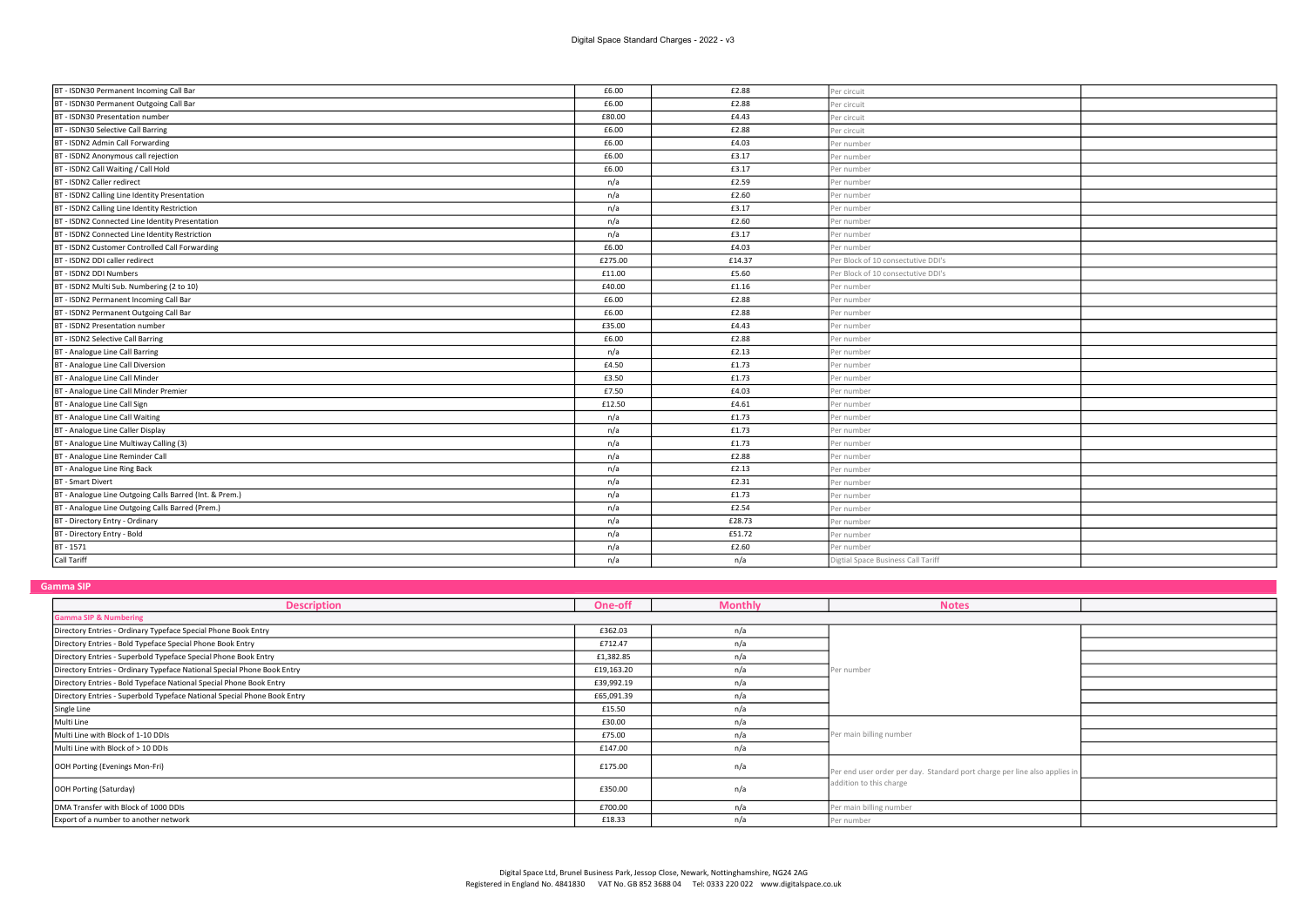| BT - ISDN30 Permanent Incoming Call Bar                 | £6.00   | £2.88  | Per circuit                        |  |
|---------------------------------------------------------|---------|--------|------------------------------------|--|
| BT - ISDN30 Permanent Outgoing Call Bar                 | £6.00   | £2.88  | 'er circuit                        |  |
| BT - ISDN30 Presentation number                         | £80.00  | £4.43  | Per circuit                        |  |
| BT - ISDN30 Selective Call Barring                      | £6.00   | £2.88  | Per circuit                        |  |
| BT - ISDN2 Admin Call Forwarding                        | £6.00   | £4.03  | Per number                         |  |
| BT - ISDN2 Anonymous call rejection                     | £6.00   | £3.17  | Per number                         |  |
| BT - ISDN2 Call Waiting / Call Hold                     | £6.00   | £3.17  | Per number                         |  |
| BT - ISDN2 Caller redirect                              | n/a     | £2.59  | Per number                         |  |
| BT - ISDN2 Calling Line Identity Presentation           | n/a     | £2.60  | er number                          |  |
| BT - ISDN2 Calling Line Identity Restriction            | n/a     | £3.17  | Per number                         |  |
| BT - ISDN2 Connected Line Identity Presentation         | n/a     | £2.60  | Per number                         |  |
| BT - ISDN2 Connected Line Identity Restriction          | n/a     | £3.17  | er number                          |  |
| BT - ISDN2 Customer Controlled Call Forwarding          | £6.00   | £4.03  | Per number                         |  |
| BT - ISDN2 DDI caller redirect                          | £275.00 | £14.37 | Per Block of 10 consectutive DDI's |  |
| BT - ISDN2 DDI Numbers                                  | £11.00  | £5.60  | Per Block of 10 consectutive DDI's |  |
| BT - ISDN2 Multi Sub. Numbering (2 to 10)               | £40.00  | £1.16  | Per number                         |  |
| BT - ISDN2 Permanent Incoming Call Bar                  | £6.00   | £2.88  | Per number                         |  |
| BT - ISDN2 Permanent Outgoing Call Bar                  | £6.00   | £2.88  | Per number                         |  |
| BT - ISDN2 Presentation number                          | £35.00  | £4.43  | Per number                         |  |
| BT - ISDN2 Selective Call Barring                       | £6.00   | £2.88  | Per number                         |  |
| BT - Analogue Line Call Barring                         | n/a     | £2.13  | Per number                         |  |
| BT - Analogue Line Call Diversion                       | £4.50   | £1.73  | Per number                         |  |
| BT - Analogue Line Call Minder                          | £3.50   | £1.73  | Per number                         |  |
| BT - Analogue Line Call Minder Premier                  | £7.50   | £4.03  | Per number                         |  |
| BT - Analogue Line Call Sign                            | £12.50  | £4.61  | Per number                         |  |
| BT - Analogue Line Call Waiting                         | n/a     | £1.73  | Per number                         |  |
| BT - Analogue Line Caller Display                       | n/a     | £1.73  | Per number                         |  |
| BT - Analogue Line Multiway Calling (3)                 | n/a     | £1.73  | Per number                         |  |
| BT - Analogue Line Reminder Call                        | n/a     | £2.88  | Per number                         |  |
| BT - Analogue Line Ring Back                            | n/a     | £2.13  | Per number                         |  |
| <b>BT</b> - Smart Divert                                | n/a     | £2.31  | Per number                         |  |
| BT - Analogue Line Outgoing Calls Barred (Int. & Prem.) | n/a     | £1.73  | Per number                         |  |
| BT - Analogue Line Outgoing Calls Barred (Prem.)        | n/a     | £2.54  | Per number                         |  |
| BT - Directory Entry - Ordinary                         | n/a     | £28.73 | Per number                         |  |
| BT - Directory Entry - Bold                             | n/a     | £51.72 | Per number                         |  |
| BT-1571                                                 | n/a     | £2.60  | Per number                         |  |
| Call Tariff                                             | n/a     | n/a    | Digtial Space Business Call Tariff |  |

Gamma SIP

| <u></u>                                                                  |            |                |                                                                           |  |
|--------------------------------------------------------------------------|------------|----------------|---------------------------------------------------------------------------|--|
| <b>Description</b>                                                       | One-off    | <b>Monthly</b> | <b>Notes</b>                                                              |  |
| <b>Gamma SIP &amp; Numbering</b>                                         |            |                |                                                                           |  |
| Directory Entries - Ordinary Typeface Special Phone Book Entry           | £362.03    | n/a            |                                                                           |  |
| Directory Entries - Bold Typeface Special Phone Book Entry               | £712.47    | n/a            |                                                                           |  |
| Directory Entries - Superbold Typeface Special Phone Book Entry          | £1,382.85  | n/a            |                                                                           |  |
| Directory Entries - Ordinary Typeface National Special Phone Book Entry  | £19,163.20 | n/a            | Per number                                                                |  |
| Directory Entries - Bold Typeface National Special Phone Book Entry      | £39,992.19 | n/a            |                                                                           |  |
| Directory Entries - Superbold Typeface National Special Phone Book Entry | £65,091.39 | n/a            |                                                                           |  |
| Single Line                                                              | £15.50     | n/a            |                                                                           |  |
| Multi Line                                                               | £30.00     | n/a            |                                                                           |  |
| Multi Line with Block of 1-10 DDIs                                       | £75.00     | n/a            | Per main billing number                                                   |  |
| Multi Line with Block of > 10 DDIs                                       | £147.00    | n/a            |                                                                           |  |
| OOH Porting (Evenings Mon-Fri)                                           | £175.00    | n/a            | Per end user order per day. Standard port charge per line also applies in |  |
| OOH Porting (Saturday)                                                   | £350.00    | n/a            | addition to this charge                                                   |  |
| DMA Transfer with Block of 1000 DDIs                                     | £700.00    | n/a            | Per main billing number                                                   |  |
| Export of a number to another network                                    | £18.33     | n/a            | Per number                                                                |  |
|                                                                          |            |                |                                                                           |  |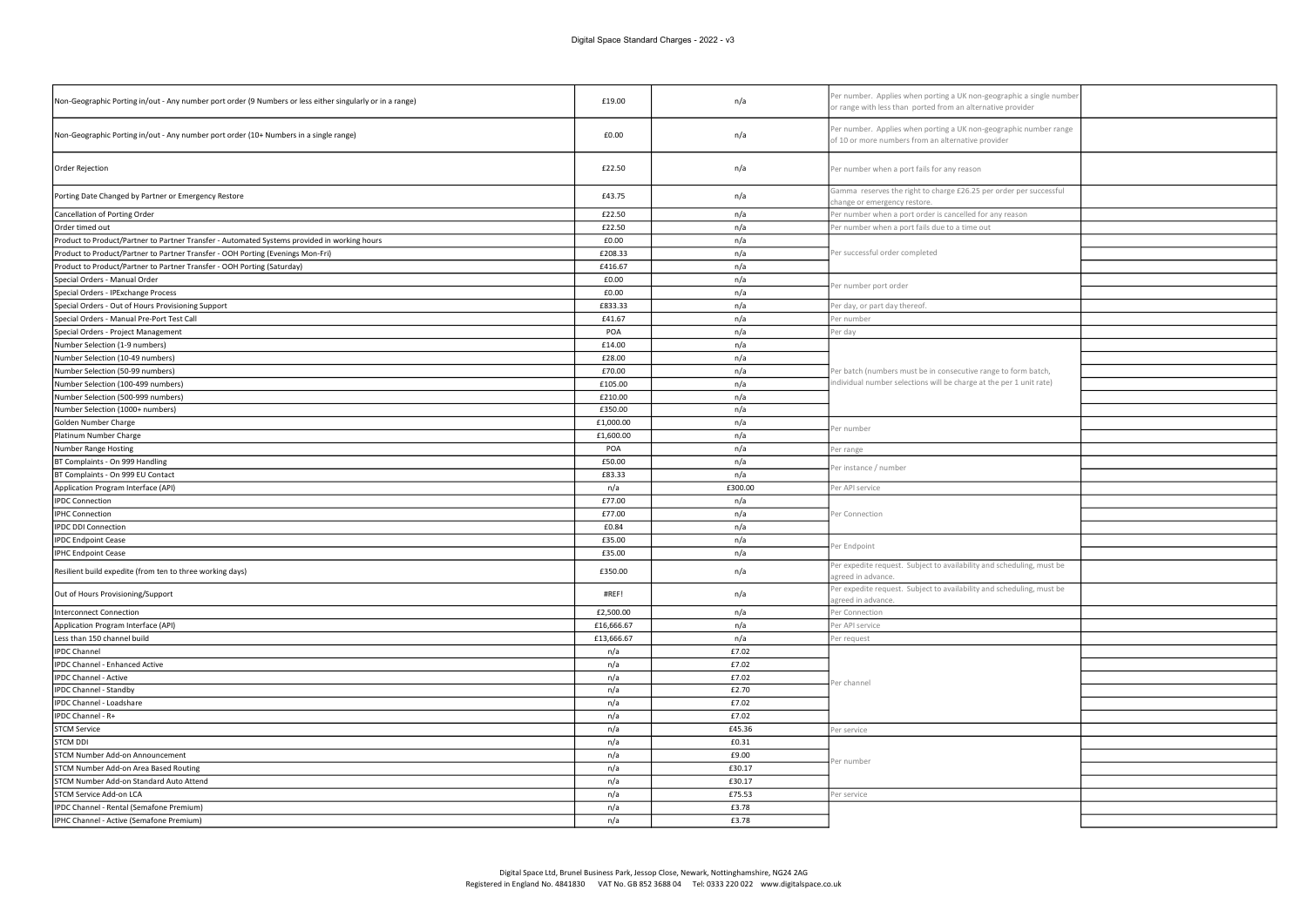| Non-Geographic Porting in/out - Any number port order (9 Numbers or less either singularly or in a range) | £19.00     | n/a     | Per number. Applies when porting a UK non-geographic a single number<br>or range with less than ported from an alternative provider |  |
|-----------------------------------------------------------------------------------------------------------|------------|---------|-------------------------------------------------------------------------------------------------------------------------------------|--|
| Non-Geographic Porting in/out - Any number port order (10+ Numbers in a single range)                     | £0.00      | n/a     | Per number. Applies when porting a UK non-geographic number range<br>of 10 or more numbers from an alternative provider             |  |
| Order Rejection                                                                                           | £22.50     | n/a     | Per number when a port fails for any reason                                                                                         |  |
| Porting Date Changed by Partner or Emergency Restore                                                      | £43.75     | n/a     | Gamma reserves the right to charge £26.25 per order per successful<br>hange or emergency restore                                    |  |
| Cancellation of Porting Order                                                                             | £22.50     | n/a     | er number when a port order is cancelled for any reason                                                                             |  |
| Order timed out                                                                                           | £22.50     | n/a     | Per number when a port fails due to a time out                                                                                      |  |
| Product to Product/Partner to Partner Transfer - Automated Systems provided in working hours              | £0.00      | n/a     |                                                                                                                                     |  |
| Product to Product/Partner to Partner Transfer - OOH Porting (Evenings Mon-Fri)                           | £208.33    | n/a     | Per successful order completed                                                                                                      |  |
| Product to Product/Partner to Partner Transfer - OOH Porting (Saturday)                                   | £416.67    | n/a     |                                                                                                                                     |  |
| Special Orders - Manual Order                                                                             | £0.00      | n/a     | Per number port order                                                                                                               |  |
| Special Orders - IPExchange Process                                                                       | £0.00      | n/a     |                                                                                                                                     |  |
| Special Orders - Out of Hours Provisioning Support                                                        | £833.33    | n/a     | er day, or part day thereof.                                                                                                        |  |
| Special Orders - Manual Pre-Port Test Call                                                                | £41.67     | n/a     | Per number                                                                                                                          |  |
| Special Orders - Project Management                                                                       | POA        | n/a     | er day                                                                                                                              |  |
| Number Selection (1-9 numbers)                                                                            | £14.00     | n/a     |                                                                                                                                     |  |
| Number Selection (10-49 numbers)                                                                          | £28.00     | n/a     |                                                                                                                                     |  |
| Number Selection (50-99 numbers)                                                                          | £70.00     | n/a     | Per batch (numbers must be in consecutive range to form batch,                                                                      |  |
| Number Selection (100-499 numbers)                                                                        | £105.00    | n/a     | ndividual number selections will be charge at the per 1 unit rate)                                                                  |  |
| Number Selection (500-999 numbers)                                                                        | £210.00    | n/a     |                                                                                                                                     |  |
| Number Selection (1000+ numbers)                                                                          | £350.00    | n/a     |                                                                                                                                     |  |
| Golden Number Charge                                                                                      | £1,000.00  | n/a     | Per number                                                                                                                          |  |
| Platinum Number Charge                                                                                    | £1,600.00  | n/a     |                                                                                                                                     |  |
| Number Range Hosting                                                                                      | POA        | n/a     | er range                                                                                                                            |  |
| BT Complaints - On 999 Handling                                                                           | £50.00     | n/a     | er instance / number                                                                                                                |  |
| BT Complaints - On 999 EU Contact                                                                         | £83.33     | n/a     |                                                                                                                                     |  |
| Application Program Interface (API)                                                                       | n/a        | £300.00 | er API service                                                                                                                      |  |
| <b>IPDC Connection</b>                                                                                    | £77.00     | n/a     |                                                                                                                                     |  |
| <b>IPHC Connection</b>                                                                                    | £77.00     | n/a     | Per Connection                                                                                                                      |  |
| <b>IPDC DDI Connection</b>                                                                                | £0.84      | n/a     |                                                                                                                                     |  |
| <b>IPDC</b> Endpoint Cease                                                                                | £35.00     | n/a     | er Endpoint                                                                                                                         |  |
| <b>IPHC Endpoint Cease</b>                                                                                | £35.00     | n/a     |                                                                                                                                     |  |
| Resilient build expedite (from ten to three working days)                                                 | £350.00    | n/a     | Per expedite request. Subject to availability and scheduling, must be<br>greed in advance.                                          |  |
| Out of Hours Provisioning/Support                                                                         | #REF!      | n/a     | Per expedite request. Subject to availability and scheduling, must be<br>greed in advance                                           |  |
| Interconnect Connection                                                                                   | £2,500.00  | n/a     | Per Connection                                                                                                                      |  |
| Application Program Interface (API)                                                                       | £16,666.67 | n/a     | er API service                                                                                                                      |  |
| Less than 150 channel build                                                                               | £13,666.67 | n/a     | er request                                                                                                                          |  |
| <b>IPDC</b> Channel                                                                                       | n/a        | £7.02   |                                                                                                                                     |  |
| IPDC Channel - Enhanced Active                                                                            | n/a        | £7.02   |                                                                                                                                     |  |
| IPDC Channel - Active                                                                                     | n/a        | £7.02   | Per channel                                                                                                                         |  |
| IPDC Channel - Standby                                                                                    | n/a        | £2.70   |                                                                                                                                     |  |
| IPDC Channel - Loadshare                                                                                  | n/a        | £7.02   |                                                                                                                                     |  |
| IPDC Channel - R+                                                                                         | n/a        | £7.02   |                                                                                                                                     |  |
| <b>STCM Service</b>                                                                                       | n/a        | £45.36  | er service                                                                                                                          |  |
| <b>STCM DDI</b>                                                                                           | n/a        | £0.31   |                                                                                                                                     |  |
| STCM Number Add-on Announcement                                                                           | n/a        | £9.00   | er number                                                                                                                           |  |
| STCM Number Add-on Area Based Routing                                                                     | n/a        | £30.17  |                                                                                                                                     |  |
| STCM Number Add-on Standard Auto Attend                                                                   | n/a        | £30.17  |                                                                                                                                     |  |
| STCM Service Add-on LCA                                                                                   | n/a        | £75.53  | er service                                                                                                                          |  |
| IPDC Channel - Rental (Semafone Premium)                                                                  | n/a        | £3.78   |                                                                                                                                     |  |
| IPHC Channel - Active (Semafone Premium)                                                                  | n/a        | £3.78   |                                                                                                                                     |  |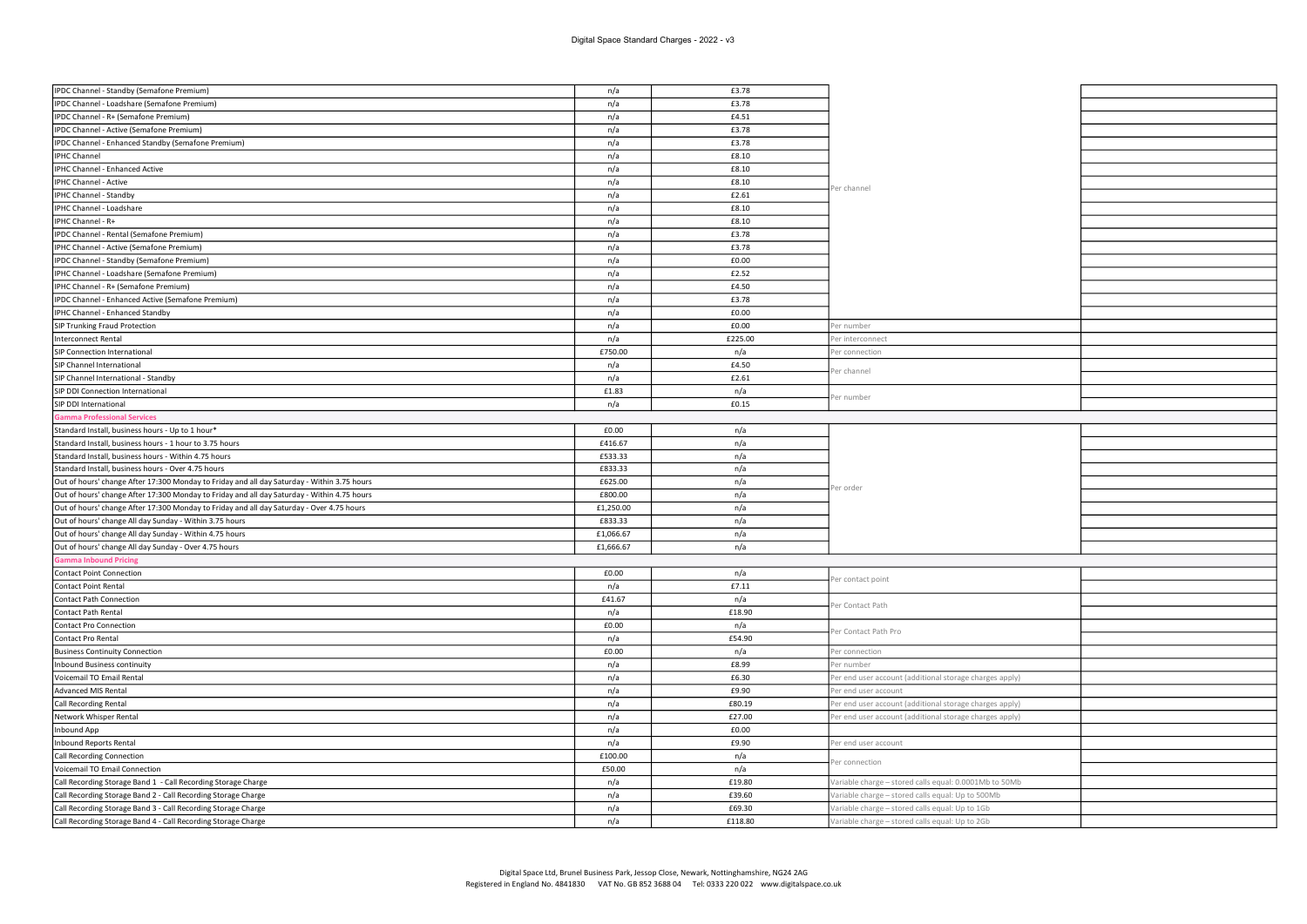| IPDC Channel - Standby (Semafone Premium)                                                   | n/a       | £3.78   |                                                         |  |
|---------------------------------------------------------------------------------------------|-----------|---------|---------------------------------------------------------|--|
| IPDC Channel - Loadshare (Semafone Premium)                                                 | n/a       | £3.78   |                                                         |  |
| IPDC Channel - R+ (Semafone Premium)                                                        | n/a       | £4.51   |                                                         |  |
| IPDC Channel - Active (Semafone Premium)                                                    | n/a       | £3.78   |                                                         |  |
| IPDC Channel - Enhanced Standby (Semafone Premium)                                          | n/a       | £3.78   |                                                         |  |
| IPHC Channel                                                                                | n/a       | £8.10   |                                                         |  |
| IPHC Channel - Enhanced Active                                                              | n/a       | £8.10   |                                                         |  |
| IPHC Channel - Active                                                                       | n/a       | £8.10   |                                                         |  |
| IPHC Channel - Standby                                                                      | n/a       | £2.61   | Per channel                                             |  |
| IPHC Channel - Loadshare                                                                    | n/a       | £8.10   |                                                         |  |
| IPHC Channel - R+                                                                           | n/a       | £8.10   |                                                         |  |
| IPDC Channel - Rental (Semafone Premium)                                                    | n/a       | £3.78   |                                                         |  |
| IPHC Channel - Active (Semafone Premium)                                                    | n/a       | £3.78   |                                                         |  |
| IPDC Channel - Standby (Semafone Premium)                                                   | n/a       | £0.00   |                                                         |  |
| IPHC Channel - Loadshare (Semafone Premium)                                                 | n/a       | £2.52   |                                                         |  |
| IPHC Channel - R+ (Semafone Premium)                                                        | n/a       | £4.50   |                                                         |  |
| IPDC Channel - Enhanced Active (Semafone Premium)                                           | n/a       | £3.78   |                                                         |  |
| IPHC Channel - Enhanced Standby                                                             | n/a       | £0.00   |                                                         |  |
| SIP Trunking Fraud Protection                                                               | n/a       | £0.00   | Per number                                              |  |
| Interconnect Rental                                                                         | n/a       | £225.00 | Per interconnect                                        |  |
| SIP Connection International                                                                | £750.00   | n/a     | er connection                                           |  |
| SIP Channel International                                                                   | n/a       | £4.50   |                                                         |  |
| SIP Channel International - Standby                                                         | n/a       | £2.61   | er channel                                              |  |
| SIP DDI Connection International                                                            | £1.83     | n/a     |                                                         |  |
| SIP DDI International                                                                       | n/a       | £0.15   | er number                                               |  |
| amma Professional Services                                                                  |           |         |                                                         |  |
| Standard Install, business hours - Up to 1 hour*                                            | £0.00     | n/a     |                                                         |  |
| Standard Install, business hours - 1 hour to 3.75 hours                                     | £416.67   | n/a     |                                                         |  |
| Standard Install, business hours - Within 4.75 hours                                        | £533.33   | n/a     |                                                         |  |
| Standard Install, business hours - Over 4.75 hours                                          | £833.33   | n/a     |                                                         |  |
| Out of hours' change After 17:300 Monday to Friday and all day Saturday - Within 3.75 hours | £625.00   | n/a     |                                                         |  |
| Out of hours' change After 17:300 Monday to Friday and all day Saturday - Within 4.75 hours | £800.00   | n/a     | Per order                                               |  |
| Out of hours' change After 17:300 Monday to Friday and all day Saturday - Over 4.75 hours   | £1,250.00 | n/a     |                                                         |  |
| Out of hours' change All day Sunday - Within 3.75 hours                                     | £833.33   | n/a     |                                                         |  |
| Out of hours' change All day Sunday - Within 4.75 hours                                     | £1,066.67 | n/a     |                                                         |  |
| Out of hours' change All day Sunday - Over 4.75 hours                                       | £1,666.67 | n/a     |                                                         |  |
| amma Inbound Pricing                                                                        |           |         |                                                         |  |
| Contact Point Connection                                                                    | £0.00     | n/a     |                                                         |  |
| Contact Point Rental                                                                        | n/a       | £7.11   | er contact point                                        |  |
| Contact Path Connection                                                                     | £41.67    | n/a     |                                                         |  |
| Contact Path Rental                                                                         | n/a       | £18.90  | er Contact Path                                         |  |
| Contact Pro Connection                                                                      | £0.00     | n/a     |                                                         |  |
| Contact Pro Rental                                                                          | n/a       | £54.90  | Per Contact Path Pro                                    |  |
| <b>Business Continuity Connection</b>                                                       | £0.00     | n/a     | Per connection                                          |  |
| Inbound Business continuity                                                                 | n/a       | £8.99   | Per number                                              |  |
| Voicemail TO Email Rental                                                                   | n/a       | £6.30   | Per end user account (additional storage charges apply) |  |
| Advanced MIS Rental                                                                         | n/a       | £9.90   | Per end user account                                    |  |
| Call Recording Rental                                                                       | n/a       | £80.19  | Per end user account (additional storage charges apply) |  |
| Network Whisper Rental                                                                      | n/a       | £27.00  | Per end user account (additional storage charges apply) |  |
| Inbound App                                                                                 | n/a       | £0.00   |                                                         |  |
| Inbound Reports Rental                                                                      | n/a       | £9.90   | Per end user account                                    |  |
| Call Recording Connection                                                                   | £100.00   | n/a     |                                                         |  |
| Voicemail TO Email Connection                                                               | £50.00    | n/a     | er connection                                           |  |
| Call Recording Storage Band 1 - Call Recording Storage Charge                               | n/a       | £19.80  | /ariable charge - stored calls equal: 0.0001Mb to 50Mb  |  |
| Call Recording Storage Band 2 - Call Recording Storage Charge                               | n/a       | £39.60  | /ariable charge - stored calls equal: Up to 500Mb       |  |
| Call Recording Storage Band 3 - Call Recording Storage Charge                               | n/a       | £69.30  | /ariable charge - stored calls equal: Up to 1Gb         |  |
| Call Recording Storage Band 4 - Call Recording Storage Charge                               | n/a       | £118.80 | Variable charge - stored calls equal: Up to 2Gb         |  |
|                                                                                             |           |         |                                                         |  |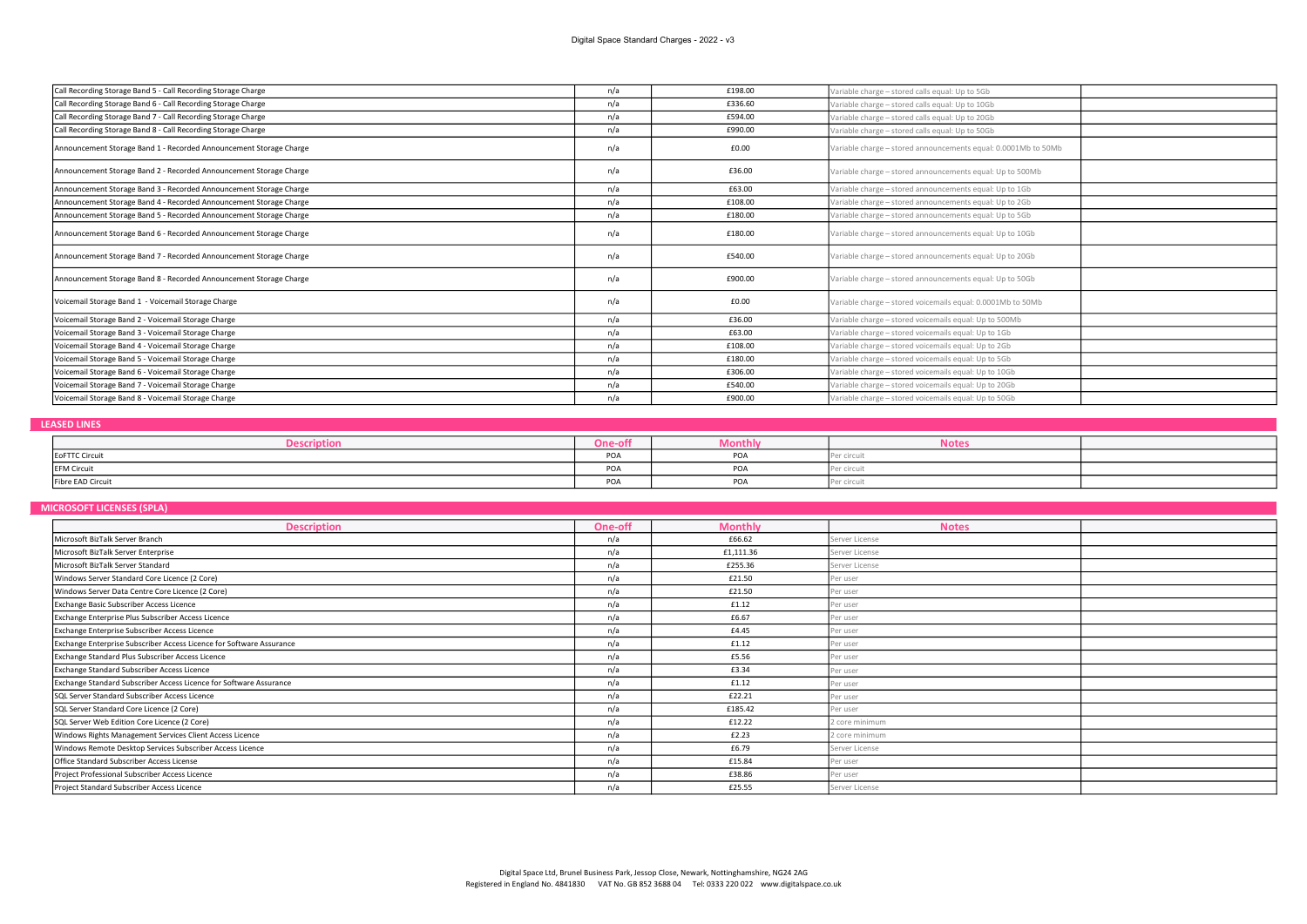| Call Recording Storage Band 5 - Call Recording Storage Charge      | n/a | £198.00 | Variable charge - stored calls equal: Up to 5Gb                |  |
|--------------------------------------------------------------------|-----|---------|----------------------------------------------------------------|--|
| Call Recording Storage Band 6 - Call Recording Storage Charge      | n/a | £336.60 | Variable charge - stored calls equal: Up to 10Gb               |  |
| Call Recording Storage Band 7 - Call Recording Storage Charge      | n/a | £594.00 | Variable charge - stored calls equal: Up to 20Gb               |  |
| Call Recording Storage Band 8 - Call Recording Storage Charge      | n/a | £990.00 | Variable charge - stored calls equal: Up to 50Gb               |  |
| Announcement Storage Band 1 - Recorded Announcement Storage Charge | n/a | £0.00   | Variable charge - stored announcements equal: 0.0001Mb to 50Mb |  |
| Announcement Storage Band 2 - Recorded Announcement Storage Charge | n/a | £36.00  | Variable charge - stored announcements equal: Up to 500Mb      |  |
| Announcement Storage Band 3 - Recorded Announcement Storage Charge | n/a | £63.00  | Variable charge - stored announcements equal: Up to 1Gb        |  |
| Announcement Storage Band 4 - Recorded Announcement Storage Charge | n/a | £108.00 | Variable charge - stored announcements equal: Up to 2Gb        |  |
| Announcement Storage Band 5 - Recorded Announcement Storage Charge | n/a | £180.00 | Variable charge - stored announcements equal: Up to 5Gb        |  |
| Announcement Storage Band 6 - Recorded Announcement Storage Charge | n/a | £180.00 | Variable charge - stored announcements equal: Up to 10Gb       |  |
| Announcement Storage Band 7 - Recorded Announcement Storage Charge | n/a | £540.00 | Variable charge - stored announcements equal: Up to 20Gb       |  |
| Announcement Storage Band 8 - Recorded Announcement Storage Charge | n/a | £900.00 | Variable charge - stored announcements equal: Up to 50Gb       |  |
| Voicemail Storage Band 1 - Voicemail Storage Charge                | n/a | £0.00   | Variable charge - stored voicemails equal: 0.0001Mb to 50Mb    |  |
| Voicemail Storage Band 2 - Voicemail Storage Charge                | n/a | £36.00  | Variable charge - stored voicemails equal: Up to 500Mb         |  |
| Voicemail Storage Band 3 - Voicemail Storage Charge                | n/a | £63.00  | Variable charge - stored voicemails equal: Up to 1Gb           |  |
| Voicemail Storage Band 4 - Voicemail Storage Charge                | n/a | £108.00 | Variable charge - stored voicemails equal: Up to 2Gb           |  |
| Voicemail Storage Band 5 - Voicemail Storage Charge                | n/a | £180.00 | Variable charge - stored voicemails equal: Up to 5Gb           |  |
| Voicemail Storage Band 6 - Voicemail Storage Charge                | n/a | £306.00 | Variable charge - stored voicemails equal: Up to 10Gb          |  |
| Voicemail Storage Band 7 - Voicemail Storage Charge                | n/a | £540.00 | Variable charge - stored voicemails equal: Up to 20Gb          |  |
| Voicemail Storage Band 8 - Voicemail Storage Charge                | n/a | £900.00 | Variable charge - stored voicemails equal: Up to 50Gb          |  |

### LEASED LINES

| IDUOI<br>$\nu$ csur | $-55$<br>ווט־סווי | wontny       | NOτes       |  |
|---------------------|-------------------|--------------|-------------|--|
| EoFTTC Circui       | POA               | $n \wedge n$ |             |  |
| <b>EFM Circuit</b>  | DO 5<br>PUA       |              |             |  |
| Fibre EAD Circuit   | POA               |              | Per circuit |  |

# MICROSOFT LICENSES (SPLA)

| <b>Description</b>                                                   | One-off | <b>Monthly</b> | <b>Notes</b>   |  |
|----------------------------------------------------------------------|---------|----------------|----------------|--|
| Microsoft BizTalk Server Branch                                      | n/a     | £66.62         | Server License |  |
| Microsoft BizTalk Server Enterprise                                  | n/a     | £1,111.36      | Server License |  |
| Microsoft BizTalk Server Standard                                    | n/a     | £255.36        | Server License |  |
| Windows Server Standard Core Licence (2 Core)                        | n/a     | £21.50         | Per user       |  |
| Windows Server Data Centre Core Licence (2 Core)                     | n/a     | £21.50         | Per user       |  |
| Exchange Basic Subscriber Access Licence                             | n/a     | £1.12          | Per user       |  |
| Exchange Enterprise Plus Subscriber Access Licence                   | n/a     | £6.67          | Per user       |  |
| Exchange Enterprise Subscriber Access Licence                        | n/a     | £4.45          | Per user       |  |
| Exchange Enterprise Subscriber Access Licence for Software Assurance | n/a     | £1.12          | Per user       |  |
| Exchange Standard Plus Subscriber Access Licence                     | n/a     | £5.56          | Per user       |  |
| Exchange Standard Subscriber Access Licence                          | n/a     | £3.34          | Per user       |  |
| Exchange Standard Subscriber Access Licence for Software Assurance   | n/a     | £1.12          | Per user       |  |
| SQL Server Standard Subscriber Access Licence                        | n/a     | £22.21         | Per user       |  |
| SQL Server Standard Core Licence (2 Core)                            | n/a     | £185.42        | Per user       |  |
| SQL Server Web Edition Core Licence (2 Core)                         | n/a     | £12.22         | 2 core minimum |  |
| Windows Rights Management Services Client Access Licence             | n/a     | £2.23          | 2 core minimum |  |
| Windows Remote Desktop Services Subscriber Access Licence            | n/a     | £6.79          | Server License |  |
| Office Standard Subscriber Access License                            | n/a     | £15.84         | Per user       |  |
| Project Professional Subscriber Access Licence                       | n/a     | £38.86         | Per user       |  |
| Project Standard Subscriber Access Licence                           | n/a     | £25.55         | Server License |  |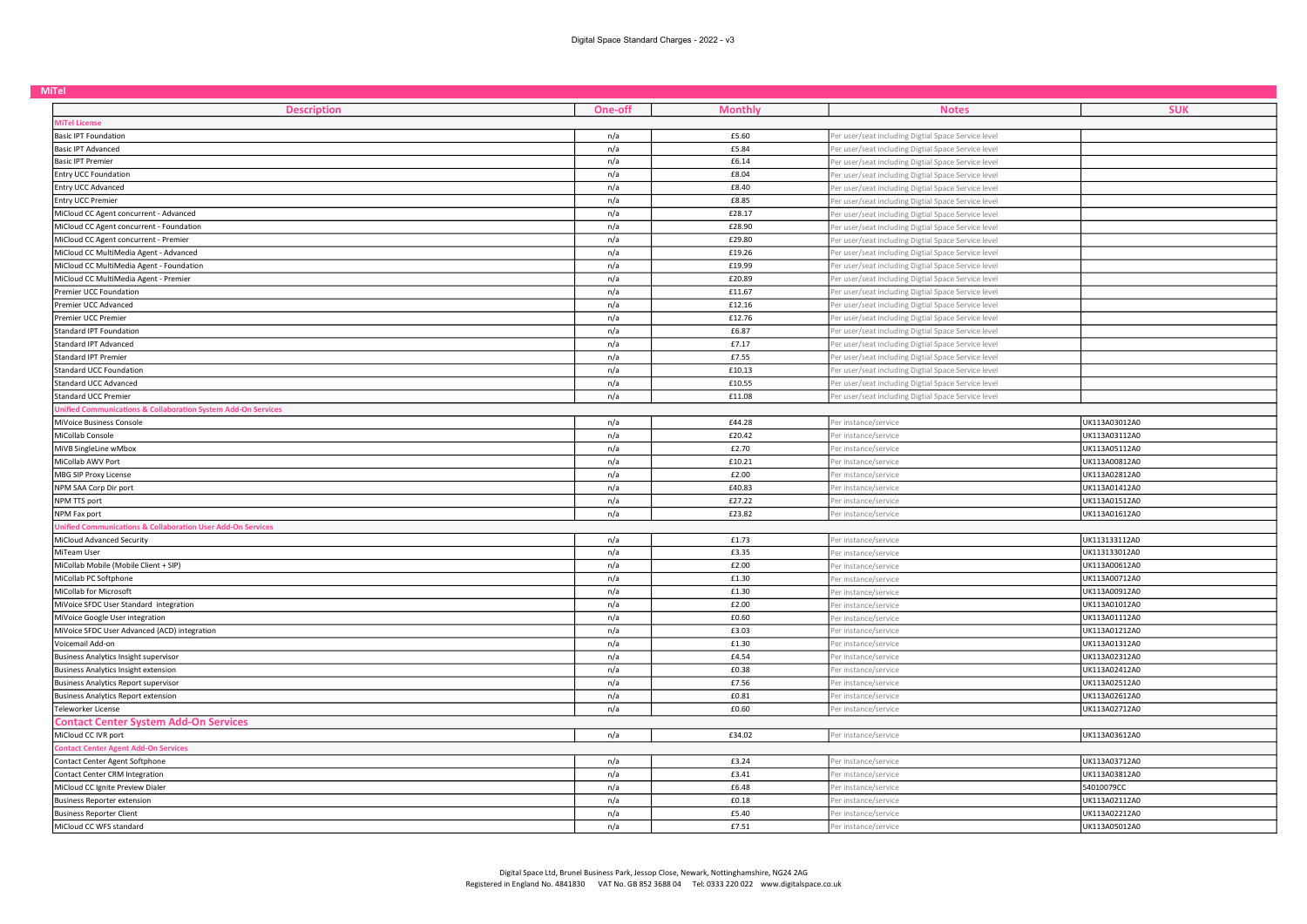| <b>MiTel</b>                                                 |                |                |                                                     |               |  |
|--------------------------------------------------------------|----------------|----------------|-----------------------------------------------------|---------------|--|
| <b>Description</b>                                           | <b>One-off</b> | <b>Monthly</b> | <b>Notes</b>                                        | <b>SUK</b>    |  |
| MiTel License                                                |                |                |                                                     |               |  |
| <b>Basic IPT Foundation</b>                                  | n/a            | £5.60          | Per user/seat including Digtial Space Service level |               |  |
| <b>Basic IPT Advanced</b>                                    | n/a            | £5.84          | Per user/seat including Digtial Space Service level |               |  |
| <b>Basic IPT Premier</b>                                     | n/a            | £6.14          | Per user/seat including Digtial Space Service level |               |  |
| <b>Entry UCC Foundation</b>                                  | n/a            | £8.04          | er user/seat including Digtial Space Service level  |               |  |
| Entry UCC Advanced                                           | n/a            | £8.40          | Per user/seat including Digtial Space Service level |               |  |
| Entry UCC Premier                                            | n/a            | £8.85          | Per user/seat including Digtial Space Service level |               |  |
| MiCloud CC Agent concurrent - Advanced                       | n/a            | £28.17         | Per user/seat including Digtial Space Service level |               |  |
| MiCloud CC Agent concurrent - Foundation                     | n/a            | £28.90         | Per user/seat including Digtial Space Service level |               |  |
| MiCloud CC Agent concurrent - Premier                        | n/a            | £29.80         | Per user/seat including Digtial Space Service level |               |  |
| MiCloud CC MultiMedia Agent - Advanced                       | n/a            | £19.26         | Per user/seat including Digtial Space Service level |               |  |
| MiCloud CC MultiMedia Agent - Foundation                     | n/a            | £19.99         | Per user/seat including Digtial Space Service level |               |  |
| MiCloud CC MultiMedia Agent - Premier                        | n/a            | £20.89         | Per user/seat including Digtial Space Service level |               |  |
| Premier UCC Foundation                                       | n/a            | £11.67         | Per user/seat including Digtial Space Service level |               |  |
| Premier UCC Advanced                                         | n/a            | £12.16         | er user/seat including Digtial Space Service level  |               |  |
| Premier UCC Premier                                          | n/a            | £12.76         | Per user/seat including Digtial Space Service level |               |  |
| Standard IPT Foundation                                      | n/a            | £6.87          | Per user/seat including Digtial Space Service level |               |  |
| Standard IPT Advanced                                        | n/a            | £7.17          | Per user/seat including Digtial Space Service level |               |  |
| Standard IPT Premier                                         | n/a            | £7.55          | Per user/seat including Digtial Space Service level |               |  |
| <b>Standard UCC Foundation</b>                               | n/a            | £10.13         | Per user/seat including Digtial Space Service level |               |  |
| <b>Standard UCC Advanced</b>                                 | n/a            | £10.55         | Per user/seat including Digtial Space Service level |               |  |
| <b>Standard UCC Premier</b>                                  | n/a            | £11.08         | Per user/seat including Digtial Space Service level |               |  |
| nified Communications & Collaboration System Add-On Services |                |                |                                                     |               |  |
| MiVoice Business Console                                     | n/a            | £44.28         | Per instance/service                                | UK113A03012A0 |  |
| MiCollab Console                                             | n/a            | £20.42         | Per instance/service                                | UK113A03112A0 |  |
| MiVB SingleLine wMbox                                        | n/a            | £2.70          | Per instance/service                                | UK113A05112A0 |  |
| MiCollab AWV Port                                            | n/a            | £10.21         | Per instance/service                                | UK113A00812A0 |  |
| MBG SIP Proxy License                                        | n/a            | £2.00          | Per instance/service                                | UK113A02812A0 |  |
| NPM SAA Corp Dir port                                        | n/a            | £40.83         | Per instance/service                                | UK113A01412A0 |  |
| NPM TTS port                                                 | n/a            | £27.22         | Per instance/service                                | UK113A01512A0 |  |
| NPM Fax port                                                 | n/a            | £23.82         | Per instance/service                                | UK113A01612A0 |  |
| nified Communications & Collaboration User Add-On Services   |                |                |                                                     |               |  |
| MiCloud Advanced Security                                    | n/a            | £1.73          | Per instance/service                                | UK113133112A0 |  |
| MiTeam User                                                  | n/a            | £3.35          | Per instance/service                                | UK113133012A0 |  |
| MiCollab Mobile (Mobile Client + SIP)                        | n/a            | £2.00          | Per instance/service                                | UK113A00612A0 |  |
| MiCollab PC Softphone                                        | n/a            | £1.30          | Per instance/service                                | UK113A00712A0 |  |
| MiCollab for Microsoft                                       | n/a            | £1.30          | Per instance/service                                | UK113A00912A0 |  |
| MiVoice SFDC User Standard integration                       | n/a            | £2.00          | er instance/service                                 | UK113A01012A0 |  |
| MiVoice Google User integration                              | n/a            | £0.60          | Per instance/service                                | UK113A01112A0 |  |
| MiVoice SFDC User Advanced (ACD) integration                 | n/a            | £3.03          | Per instance/service                                | UK113A01212A0 |  |
| Voicemail Add-on                                             | n/a            | £1.30          | Per instance/service                                | UK113A01312A0 |  |
| <b>Business Analytics Insight supervisor</b>                 | n/a            | £4.54          | er instance/service                                 | UK113A02312A0 |  |
| <b>Business Analytics Insight extension</b>                  | n/a            | £0.38          | Per instance/service                                | UK113A02412A0 |  |
| <b>Business Analytics Report supervisor</b>                  | n/a            | £7.56          | Per instance/service                                | UK113A02512A0 |  |
| <b>Business Analytics Report extension</b>                   | n/a            | £0.81          | Per instance/service                                | UK113A02612A0 |  |
| Teleworker License                                           | n/a            | £0.60          | Per instance/service                                | UK113A02712A0 |  |
| <b>Contact Center System Add-On Services</b>                 |                |                |                                                     |               |  |
| MiCloud CC IVR port                                          | n/a            | £34.02         | Per instance/service                                | UK113A03612A0 |  |
| ontact Center Agent Add-On Services                          |                |                |                                                     |               |  |
| Contact Center Agent Softphone                               | n/a            | £3.24          | Per instance/service                                | UK113A03712A0 |  |
| Contact Center CRM Integration                               | n/a            | £3.41          | er instance/service                                 | UK113A03812A0 |  |
| MiCloud CC Ignite Preview Dialer                             | n/a            | £6.48          | Per instance/service                                | 54010079CC    |  |
| Business Reporter extension                                  | n/a            | £0.18          | er instance/service                                 | UK113A02112A0 |  |
| Business Reporter Client                                     | n/a            | £5.40          | er instance/service                                 | UK113A02212A0 |  |
| MiCloud CC WFS standard                                      | n/a            | £7.51          | Per instance/service                                | UK113A05012A0 |  |
|                                                              |                |                |                                                     |               |  |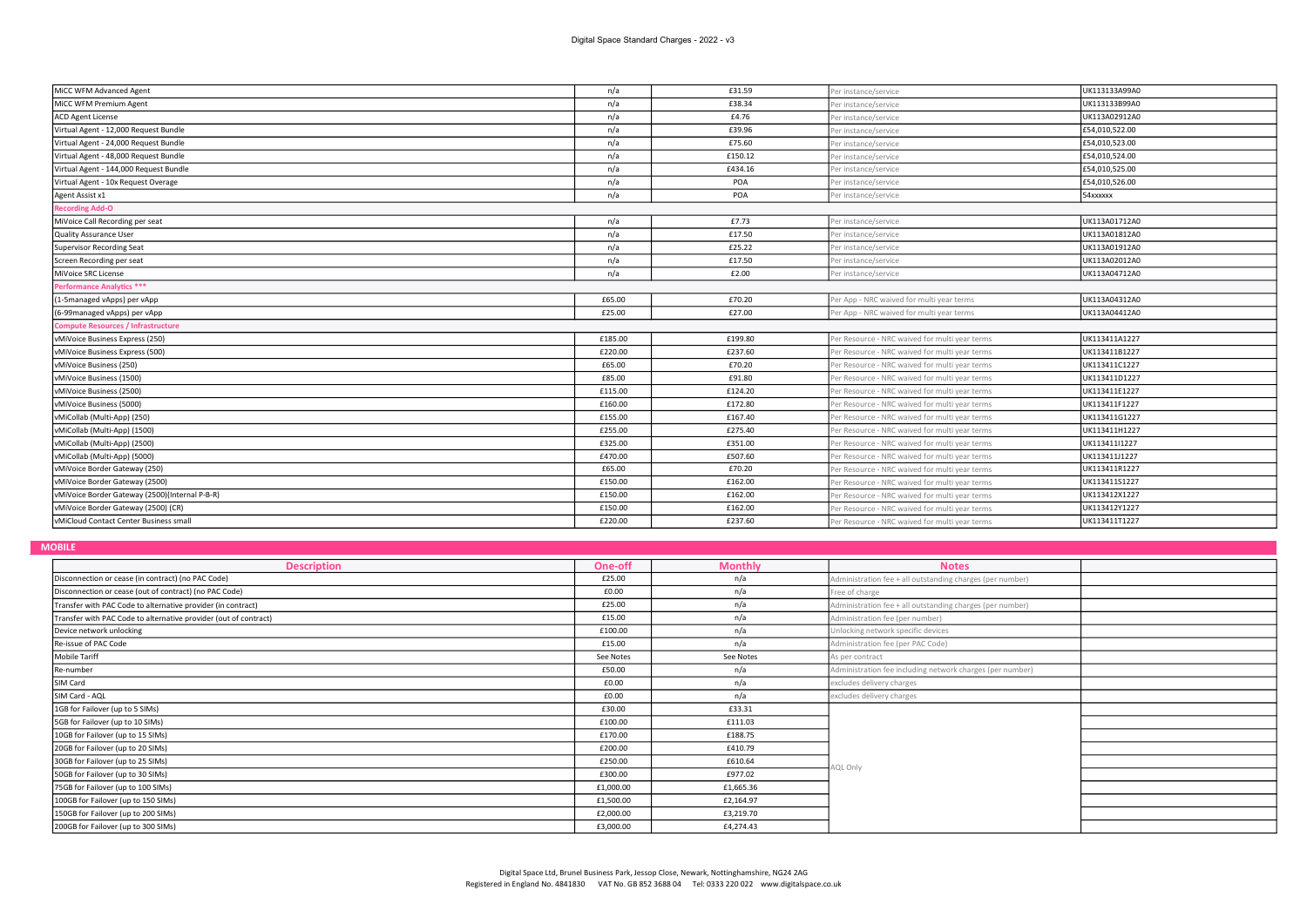| MiCC WFM Advanced Agent                        | n/a     | £31.59  | Per instance/service                           | UK113133A99A0  |  |  |
|------------------------------------------------|---------|---------|------------------------------------------------|----------------|--|--|
| MiCC WFM Premium Agent                         | n/a     | £38.34  | er instance/service                            | UK113133B99A0  |  |  |
| ACD Agent License                              | n/a     | £4.76   | Per instance/service                           | UK113A02912A0  |  |  |
| Virtual Agent - 12,000 Request Bundle          | n/a     | £39.96  | Per instance/service                           | £54,010,522.00 |  |  |
| Virtual Agent - 24,000 Request Bundle          | n/a     | £75.60  | Per instance/service                           | £54,010,523.00 |  |  |
| Virtual Agent - 48,000 Request Bundle          | n/a     | £150.12 | Per instance/service                           | £54,010,524.00 |  |  |
| Virtual Agent - 144,000 Request Bundle         | n/a     | £434.16 | Per instance/service                           | £54,010,525.00 |  |  |
| Virtual Agent - 10x Request Overage            | n/a     | POA     | Per instance/service                           | £54,010,526.00 |  |  |
| Agent Assist x1                                | n/a     | POA     | Per instance/service                           | 54xxxxxx       |  |  |
| <b>Recording Add-O</b>                         |         |         |                                                |                |  |  |
| MiVoice Call Recording per seat                | n/a     | £7.73   | Per instance/service                           | UK113A01712A0  |  |  |
| Quality Assurance User                         | n/a     | £17.50  | Per instance/service                           | UK113A01812A0  |  |  |
| Supervisor Recording Seat                      | n/a     | £25.22  | Per instance/service                           | UK113A01912A0  |  |  |
| Screen Recording per seat                      | n/a     | £17.50  | Per instance/service                           | UK113A02012A0  |  |  |
| MiVoice SRC License                            | n/a     | £2.00   | Per instance/service                           | UK113A04712A0  |  |  |
| <b>Performance Analytics ***</b>               |         |         |                                                |                |  |  |
| (1-5managed vApps) per vApp                    | £65.00  | £70.20  | Per App - NRC waived for multi year terms      | UK113A04312A0  |  |  |
| (6-99managed vApps) per vApp                   | £25.00  | £27.00  | Per App - NRC waived for multi year terms      | UK113A04412A0  |  |  |
| <b>Compute Resources / Infrastructure</b>      |         |         |                                                |                |  |  |
| vMiVoice Business Express (250)                | £185.00 | £199.80 | Per Resource - NRC waived for multi year terms | UK113411A1227  |  |  |
| vMiVoice Business Express (500)                | £220.00 | £237.60 | er Resource - NRC waived for multi year terms  | UK113411B1227  |  |  |
| vMiVoice Business (250)                        | £65.00  | £70.20  | Per Resource - NRC waived for multi year terms | UK113411C1227  |  |  |
| vMiVoice Business (1500)                       | £85.00  | £91.80  | Per Resource - NRC waived for multi year terms | UK113411D1227  |  |  |
| vMiVoice Business (2500)                       | £115.00 | £124.20 | Per Resource - NRC waived for multi year terms | UK113411E1227  |  |  |
| vMiVoice Business (5000)                       | £160.00 | £172.80 | er Resource - NRC waived for multi year terms  | UK113411F1227  |  |  |
| vMiCollab (Multi-App) (250)                    | £155.00 | £167.40 | er Resource - NRC waived for multi year terms  | UK113411G1227  |  |  |
| vMiCollab (Multi-App) (1500)                   | £255.00 | £275.40 | er Resource - NRC waived for multi year terms  | UK113411H1227  |  |  |
| vMiCollab (Multi-App) (2500)                   | £325.00 | £351.00 | Per Resource - NRC waived for multi year terms | UK113411I1227  |  |  |
| vMiCollab (Multi-App) (5000)                   | £470.00 | £507.60 | Per Resource - NRC waived for multi year terms | UK113411J1227  |  |  |
| vMiVoice Border Gateway (250)                  | £65.00  | £70.20  | Per Resource - NRC waived for multi year terms | UK113411R1227  |  |  |
| vMiVoice Border Gateway (2500)                 | £150.00 | £162.00 | er Resource - NRC waived for multi year terms  | UK113411S1227  |  |  |
| vMiVoice Border Gateway (2500)(Internal P-B-R) | £150.00 | £162.00 | Per Resource - NRC waived for multi year terms | UK113412X1227  |  |  |
| vMiVoice Border Gateway (2500) (CR)            | £150.00 | £162.00 | Per Resource - NRC waived for multi year terms | UK113412Y1227  |  |  |
| vMiCloud Contact Center Business small         | £220.00 | £237.60 | Per Resource - NRC waived for multi year terms | UK113411T1227  |  |  |

MOBILE

| <b>Description</b>                                               | One-off   | <b>Monthly</b> | <b>Notes</b>                                              |  |
|------------------------------------------------------------------|-----------|----------------|-----------------------------------------------------------|--|
| Disconnection or cease (in contract) (no PAC Code)               | £25.00    | n/a            | Administration fee + all outstanding charges (per number) |  |
| Disconnection or cease (out of contract) (no PAC Code)           | £0.00     | n/a            | Free of charge                                            |  |
| Transfer with PAC Code to alternative provider (in contract)     | £25.00    | n/a            | Administration fee + all outstanding charges (per number) |  |
| Transfer with PAC Code to alternative provider (out of contract) | £15.00    | n/a            | Administration fee (per number)                           |  |
| Device network unlocking                                         | £100.00   | n/a            | Unlocking network specific devices                        |  |
| Re-issue of PAC Code                                             | £15.00    | n/a            | Administration fee (per PAC Code)                         |  |
| Mobile Tariff                                                    | See Notes | See Notes      | As per contract                                           |  |
| Re-number                                                        | £50.00    | n/a            | Administration fee including network charges (per number) |  |
| SIM Card                                                         | £0.00     | n/a            | excludes delivery charges                                 |  |
| SIM Card - AQL                                                   | £0.00     | n/a            | excludes delivery charges                                 |  |
| 1GB for Failover (up to 5 SIMs)                                  | £30.00    | £33.31         |                                                           |  |
| 5GB for Failover (up to 10 SIMs)                                 | £100.00   | £111.03        |                                                           |  |
| 10GB for Failover (up to 15 SIMs)                                | £170.00   | £188.75        |                                                           |  |
| 20GB for Failover (up to 20 SIMs)                                | £200.00   | £410.79        |                                                           |  |
| 30GB for Failover (up to 25 SIMs)                                | £250.00   | £610.64        | <b>QL Only</b>                                            |  |
| 50GB for Failover (up to 30 SIMs)                                | £300.00   | £977.02        |                                                           |  |
| 75GB for Failover (up to 100 SIMs)                               | £1,000.00 | £1,665.36      |                                                           |  |
| 100GB for Failover (up to 150 SIMs)                              | £1,500.00 | £2,164.97      |                                                           |  |
| 150GB for Failover (up to 200 SIMs)                              | £2,000.00 | £3,219.70      |                                                           |  |
| 200GB for Failover (up to 300 SIMs)                              | £3,000.00 | £4,274,43      |                                                           |  |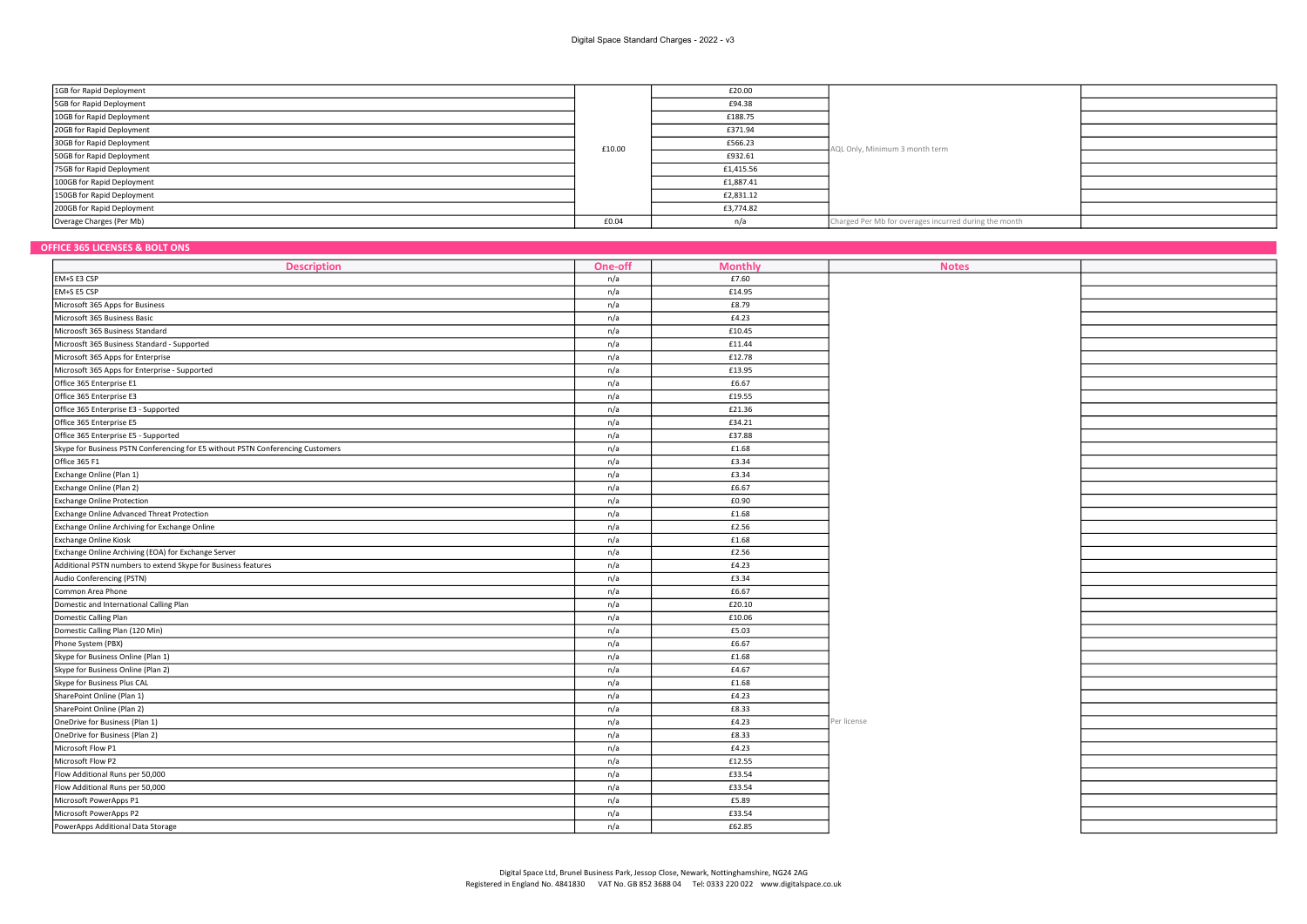| 1GB for Rapid Deployment   |        | £20.00    |                                                       |  |
|----------------------------|--------|-----------|-------------------------------------------------------|--|
| 5GB for Rapid Deployment   |        | £94.38    |                                                       |  |
| 10GB for Rapid Deployment  |        | £188.75   | AQL Only, Minimum 3 month term                        |  |
| 20GB for Rapid Deployment  | £10.00 | £371.94   |                                                       |  |
| 30GB for Rapid Deployment  |        | £566.23   |                                                       |  |
| 50GB for Rapid Deployment  |        | £932.61   |                                                       |  |
| 75GB for Rapid Deployment  |        | £1,415.56 |                                                       |  |
| 100GB for Rapid Deployment |        | £1,887.41 |                                                       |  |
| 150GB for Rapid Deployment |        | £2,831.12 |                                                       |  |
| 200GB for Rapid Deployment |        | £3,774.82 |                                                       |  |
| Overage Charges (Per Mb)   | £0.04  |           | Charged Per Mb for overages incurred during the month |  |

# OFFICE 365 LICENSES & BOLT ONS

| FFILE 305 LILENSES & BULT UNS                                                   |         |                |              |  |
|---------------------------------------------------------------------------------|---------|----------------|--------------|--|
| <b>Description</b>                                                              | One-off | <b>Monthly</b> | <b>Notes</b> |  |
| EM+S E3 CSP                                                                     | n/a     | £7.60          |              |  |
| EM+S E5 CSP                                                                     | n/a     | £14.95         |              |  |
| Microsoft 365 Apps for Business                                                 | n/a     | £8.79          |              |  |
| Microsoft 365 Business Basic                                                    | n/a     | £4.23          |              |  |
| Microosft 365 Business Standard                                                 | n/a     | £10.45         |              |  |
| Microosft 365 Business Standard - Supported                                     | n/a     | £11.44         |              |  |
| Microsoft 365 Apps for Enterprise                                               | n/a     | £12.78         |              |  |
| Microsoft 365 Apps for Enterprise - Supported                                   | n/a     | £13.95         |              |  |
| Office 365 Enterprise E1                                                        | n/a     | £6.67          |              |  |
| Office 365 Enterprise E3                                                        | n/a     | £19.55         |              |  |
| Office 365 Enterprise E3 - Supported                                            | n/a     | £21.36         |              |  |
| Office 365 Enterprise E5                                                        | n/a     | £34.21         |              |  |
| Office 365 Enterprise E5 - Supported                                            | n/a     | £37.88         |              |  |
| Skype for Business PSTN Conferencing for E5 without PSTN Conferencing Customers | n/a     | £1.68          |              |  |
| Office 365 F1                                                                   | n/a     | £3.34          |              |  |
| Exchange Online (Plan 1)                                                        | n/a     | £3.34          |              |  |
| Exchange Online (Plan 2)                                                        | n/a     | £6.67          |              |  |
| <b>Exchange Online Protection</b>                                               | n/a     | £0.90          |              |  |
| Exchange Online Advanced Threat Protection                                      | n/a     | £1.68          |              |  |
| Exchange Online Archiving for Exchange Online                                   | n/a     | £2.56          |              |  |
| <b>Exchange Online Kiosk</b>                                                    | n/a     | £1.68          |              |  |
| Exchange Online Archiving (EOA) for Exchange Server                             | n/a     | £2.56          |              |  |
| Additional PSTN numbers to extend Skype for Business features                   | n/a     | £4.23          |              |  |
| Audio Conferencing (PSTN)                                                       | n/a     | £3.34          |              |  |
| Common Area Phone                                                               | n/a     | £6.67          |              |  |
| Domestic and International Calling Plan                                         | n/a     | £20.10         |              |  |
| Domestic Calling Plan                                                           | n/a     | £10.06         |              |  |
| Domestic Calling Plan (120 Min)                                                 | n/a     | £5.03          |              |  |
| Phone System (PBX)                                                              | n/a     | £6.67          |              |  |
| Skype for Business Online (Plan 1)                                              | n/a     | £1.68          |              |  |
| Skype for Business Online (Plan 2)                                              | n/a     | £4.67          |              |  |
| Skype for Business Plus CAL                                                     | n/a     | £1.68          |              |  |
| SharePoint Online (Plan 1)                                                      | n/a     | £4.23          |              |  |
| SharePoint Online (Plan 2)                                                      | n/a     | £8.33          |              |  |
| OneDrive for Business (Plan 1)                                                  | n/a     | £4.23          | Per license  |  |
| OneDrive for Business (Plan 2)                                                  | n/a     | £8.33          |              |  |
| Microsoft Flow P1                                                               | n/a     | £4.23          |              |  |
| Microsoft Flow P2                                                               | n/a     | £12.55         |              |  |
| Flow Additional Runs per 50,000                                                 | n/a     | £33.54         |              |  |
| Flow Additional Runs per 50,000                                                 | n/a     | £33.54         |              |  |
| Microsoft PowerApps P1                                                          | n/a     | £5.89          |              |  |
| Microsoft PowerApps P2                                                          | n/a     | £33.54         |              |  |
| PowerApps Additional Data Storage                                               | n/a     | £62.85         |              |  |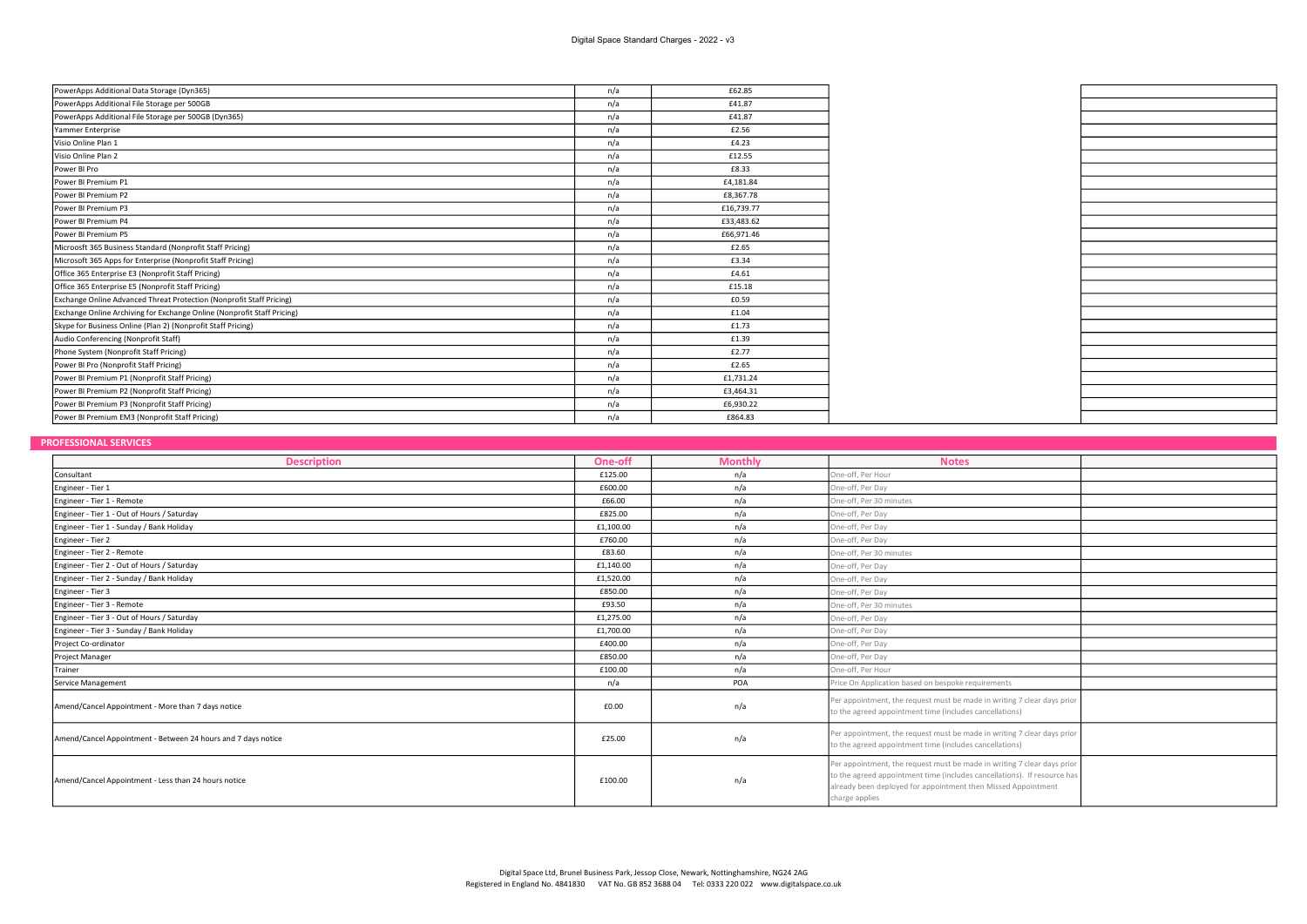| PowerApps Additional Data Storage (Dyn365)                              | n/a | £62.85     |
|-------------------------------------------------------------------------|-----|------------|
| PowerApps Additional File Storage per 500GB                             | n/a | £41.87     |
| PowerApps Additional File Storage per 500GB (Dyn365)                    | n/a | £41.87     |
| Yammer Enterprise                                                       | n/a | £2.56      |
| Visio Online Plan 1                                                     | n/a | £4.23      |
| Visio Online Plan 2                                                     | n/a | £12.55     |
| Power BI Pro                                                            | n/a | £8.33      |
| Power BI Premium P1                                                     | n/a | £4,181.84  |
| Power BI Premium P2                                                     | n/a | £8,367.78  |
| Power BI Premium P3                                                     | n/a | £16,739.77 |
| Power BI Premium P4                                                     | n/a | £33,483.62 |
| Power BI Premium P5                                                     | n/a | £66,971.46 |
| Microosft 365 Business Standard (Nonprofit Staff Pricing)               | n/a | £2.65      |
| Microsoft 365 Apps for Enterprise (Nonprofit Staff Pricing)             | n/a | £3.34      |
| Office 365 Enterprise E3 (Nonprofit Staff Pricing)                      | n/a | £4.61      |
| Office 365 Enterprise E5 (Nonprofit Staff Pricing)                      | n/a | £15.18     |
| Exchange Online Advanced Threat Protection (Nonprofit Staff Pricing)    | n/a | £0.59      |
| Exchange Online Archiving for Exchange Online (Nonprofit Staff Pricing) | n/a | £1.04      |
| Skype for Business Online (Plan 2) (Nonprofit Staff Pricing)            | n/a | £1.73      |
| Audio Conferencing (Nonprofit Staff)                                    | n/a | £1.39      |
| Phone System (Nonprofit Staff Pricing)                                  | n/a | £2.77      |
| Power BI Pro (Nonprofit Staff Pricing)                                  | n/a | £2.65      |
| Power BI Premium P1 (Nonprofit Staff Pricing)                           | n/a | £1,731.24  |
| Power BI Premium P2 (Nonprofit Staff Pricing)                           | n/a | £3,464.31  |
| Power BI Premium P3 (Nonprofit Staff Pricing)                           | n/a | £6,930.22  |
| Power BI Premium EM3 (Nonprofit Staff Pricing)                          | n/a | £864.83    |

#### **PROFESSIONAL SERVICES**

| <b>Description</b>                                            | One-off   | <b>Monthly</b> | <b>Notes</b>                                                                                                                                                                                                                           |  |
|---------------------------------------------------------------|-----------|----------------|----------------------------------------------------------------------------------------------------------------------------------------------------------------------------------------------------------------------------------------|--|
| Consultant                                                    | £125.00   | n/a            | One-off, Per Hour                                                                                                                                                                                                                      |  |
| Engineer - Tier 1                                             | £600.00   | n/a            | One-off, Per Day                                                                                                                                                                                                                       |  |
| Engineer - Tier 1 - Remote                                    | £66.00    | n/a            | One-off, Per 30 minutes                                                                                                                                                                                                                |  |
| Engineer - Tier 1 - Out of Hours / Saturday                   | £825.00   | n/a            | One-off, Per Day                                                                                                                                                                                                                       |  |
| Engineer - Tier 1 - Sunday / Bank Holiday                     | £1,100.00 | n/a            | One-off, Per Day                                                                                                                                                                                                                       |  |
| Engineer - Tier 2                                             | £760.00   | n/a            | One-off, Per Day                                                                                                                                                                                                                       |  |
|                                                               | £83.60    |                | One-off, Per 30 minutes                                                                                                                                                                                                                |  |
| Engineer - Tier 2 - Remote                                    |           | n/a            |                                                                                                                                                                                                                                        |  |
| Engineer - Tier 2 - Out of Hours / Saturday                   | £1,140.00 | n/a            | One-off, Per Day                                                                                                                                                                                                                       |  |
| Engineer - Tier 2 - Sunday / Bank Holiday                     | £1,520.00 | n/a            | One-off, Per Day                                                                                                                                                                                                                       |  |
| Engineer - Tier 3                                             | £850.00   | n/a            | One-off, Per Day                                                                                                                                                                                                                       |  |
| Engineer - Tier 3 - Remote                                    | £93.50    | n/a            | One-off, Per 30 minutes                                                                                                                                                                                                                |  |
| Engineer - Tier 3 - Out of Hours / Saturday                   | £1,275.00 | n/a            | One-off, Per Day                                                                                                                                                                                                                       |  |
| Engineer - Tier 3 - Sunday / Bank Holiday                     | £1,700.00 | n/a            | One-off, Per Day                                                                                                                                                                                                                       |  |
| Project Co-ordinator                                          | £400.00   | n/a            | One-off, Per Day                                                                                                                                                                                                                       |  |
| Project Manager                                               | £850.00   | n/a            | One-off, Per Day                                                                                                                                                                                                                       |  |
| Trainer                                                       | £100.00   | n/a            | One-off, Per Hour                                                                                                                                                                                                                      |  |
| Service Management                                            | n/a       | POA            | Price On Application based on bespoke requirements                                                                                                                                                                                     |  |
| Amend/Cancel Appointment - More than 7 days notice            | £0.00     | n/a            | Per appointment, the request must be made in writing 7 clear days prior<br>to the agreed appointment time (includes cancellations)                                                                                                     |  |
| Amend/Cancel Appointment - Between 24 hours and 7 days notice | £25.00    | n/a            | Per appointment, the request must be made in writing 7 clear days prior<br>to the agreed appointment time (includes cancellations)                                                                                                     |  |
| Amend/Cancel Appointment - Less than 24 hours notice          | £100.00   | n/a            | Per appointment, the request must be made in writing 7 clear days prior<br>to the agreed appointment time (includes cancellations). If resource has<br>already been deployed for appointment then Missed Appointment<br>charge applies |  |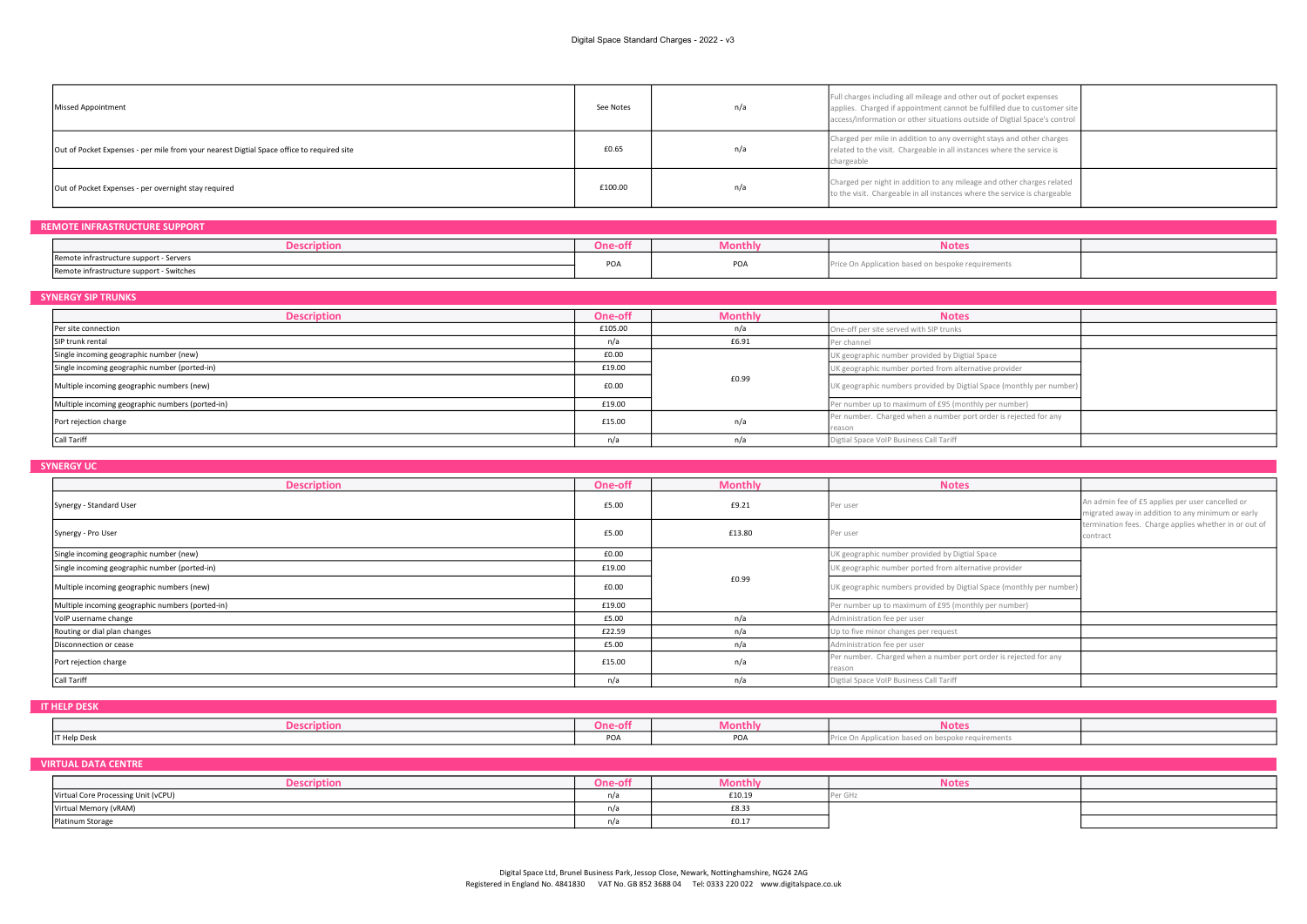| Missed Appointment                                                                        | See Notes | n/a | Full charges including all mileage and other out of pocket expenses<br>applies. Charged if appointment cannot be fulfilled due to customer site<br>access/information or other situations outside of Digtial Space's control |  |
|-------------------------------------------------------------------------------------------|-----------|-----|------------------------------------------------------------------------------------------------------------------------------------------------------------------------------------------------------------------------------|--|
| Out of Pocket Expenses - per mile from your nearest Digtial Space office to required site | £0.65     | n/a | Charged per mile in addition to any overnight stays and other charges<br>related to the visit. Chargeable in all instances where the service is<br>chargeable                                                                |  |
| Out of Pocket Expenses - per overnight stay required                                      | £100.00   | n/a | Charged per night in addition to any mileage and other charges related<br>to the visit. Chargeable in all instances where the service is chargeable                                                                          |  |

| <b>REMOTE INFRASTRUCTURE SUPPORT</b>     |         |         |                                                    |  |  |  |
|------------------------------------------|---------|---------|----------------------------------------------------|--|--|--|
| <b>Description</b>                       | One-of. | viontn' | <b>Notes</b>                                       |  |  |  |
| Remote infrastructure support - Servers  | PO/     | POA     | Price On Application based on bespoke requirements |  |  |  |
| Remote infrastructure support - Switches |         |         |                                                    |  |  |  |

### SYNERGY SIP TRUNKS <u>Description and Monthly Motes</u> (Notes and Monthly Motes and Monthly Motes and Monthly Motes and Motes and Motes Per site connection **E105.00** n/a One-off per site served with SIP trunks SIP trunk rental **EG.91** Per channel Single incoming geographic number (new)<br> **E0.00** UK geographic number (new)<br> **E19.00** UK geographic number (norted-in)<br>
UK geographic number (norted-in) Single incoming geographic number (ported-in) **Example 2008** UK geographic number ported from alternative provider Multiple incoming geographic numbers (new) and the communication of the communication of the communication of the communication of the communication of the communication of the communication of the communication of the com Multiple incoming geographic numbers (ported-in) **E19.00** Per number up to maximum of £95 (monthly per number) **E19.00** Per number up to maximum of £95 (monthly per number) Port rejection charge **E15.00** Per number. Charged when a number port order is rejected for any **Per number.** Charged when a number port order is rejected for any reason Call Tariff **name is a constant of the Call Tariff n/a** n/a **n/a** Digital Space VoIP Business Call Tariff £0.99

#### **SYNERGY UC**

| <b>Description</b>                               | One-off | <b>Monthly</b> | <b>Notes</b>                                                               |                                                                                                                                                                            |
|--------------------------------------------------|---------|----------------|----------------------------------------------------------------------------|----------------------------------------------------------------------------------------------------------------------------------------------------------------------------|
| Synergy - Standard User                          | £5.00   | £9.21          | Per user                                                                   | An admin fee of £5 applies per user cancelled or<br>migrated away in addition to any minimum or early<br>termination fees. Charge applies whether in or out of<br>contract |
| Synergy - Pro User                               | £5.00   | £13.80         | Per user                                                                   |                                                                                                                                                                            |
| Single incoming geographic number (new)          | £0.00   |                | UK geographic number provided by Digtial Space                             |                                                                                                                                                                            |
| Single incoming geographic number (ported-in)    | £19.00  | £0.99          | UK geographic number ported from alternative provider                      |                                                                                                                                                                            |
| Multiple incoming geographic numbers (new)       | £0.00   |                | UK geographic numbers provided by Digtial Space (monthly per number)       |                                                                                                                                                                            |
| Multiple incoming geographic numbers (ported-in) | £19.00  |                | Per number up to maximum of £95 (monthly per number)                       |                                                                                                                                                                            |
| VolP username change                             | £5.00   | n/a            | Administration fee per user                                                |                                                                                                                                                                            |
| Routing or dial plan changes                     | £22.59  | n/a            | Up to five minor changes per request                                       |                                                                                                                                                                            |
| Disconnection or cease                           | £5.00   | n/a            | Administration fee per user                                                |                                                                                                                                                                            |
| Port rejection charge                            | £15.00  | n/a            | Per number. Charged when a number port order is rejected for any<br>reason |                                                                                                                                                                            |
| Call Tariff                                      | n/a     | n/a            | Digtial Space VoIP Business Call Tariff                                    |                                                                                                                                                                            |

**IT HELP DESK** 

|              | $\sim$ $\sim$ $\sim$ $\sim$ $\sim$<br><b>One-off</b> | viontni | <b>NOTES</b>                                   |  |
|--------------|------------------------------------------------------|---------|------------------------------------------------|--|
| IT Help Desk | $n \cap$<br><b>PUA</b>                               | POA     | Price On Application based on bespoke require. |  |

# VIRTUAL DATA CENTRE

| $-$                                 | .ce<br>UIIE-UII | .vionthly | <b>NOTES</b> |  |
|-------------------------------------|-----------------|-----------|--------------|--|
| Virtual Core Processing Unit (vCPU) | n/a             | £10.19    |              |  |
| Virtual Memory (vRAM)               | n/2             | £8.33     |              |  |
| Platinum Storage                    | n/2             | £0.17     |              |  |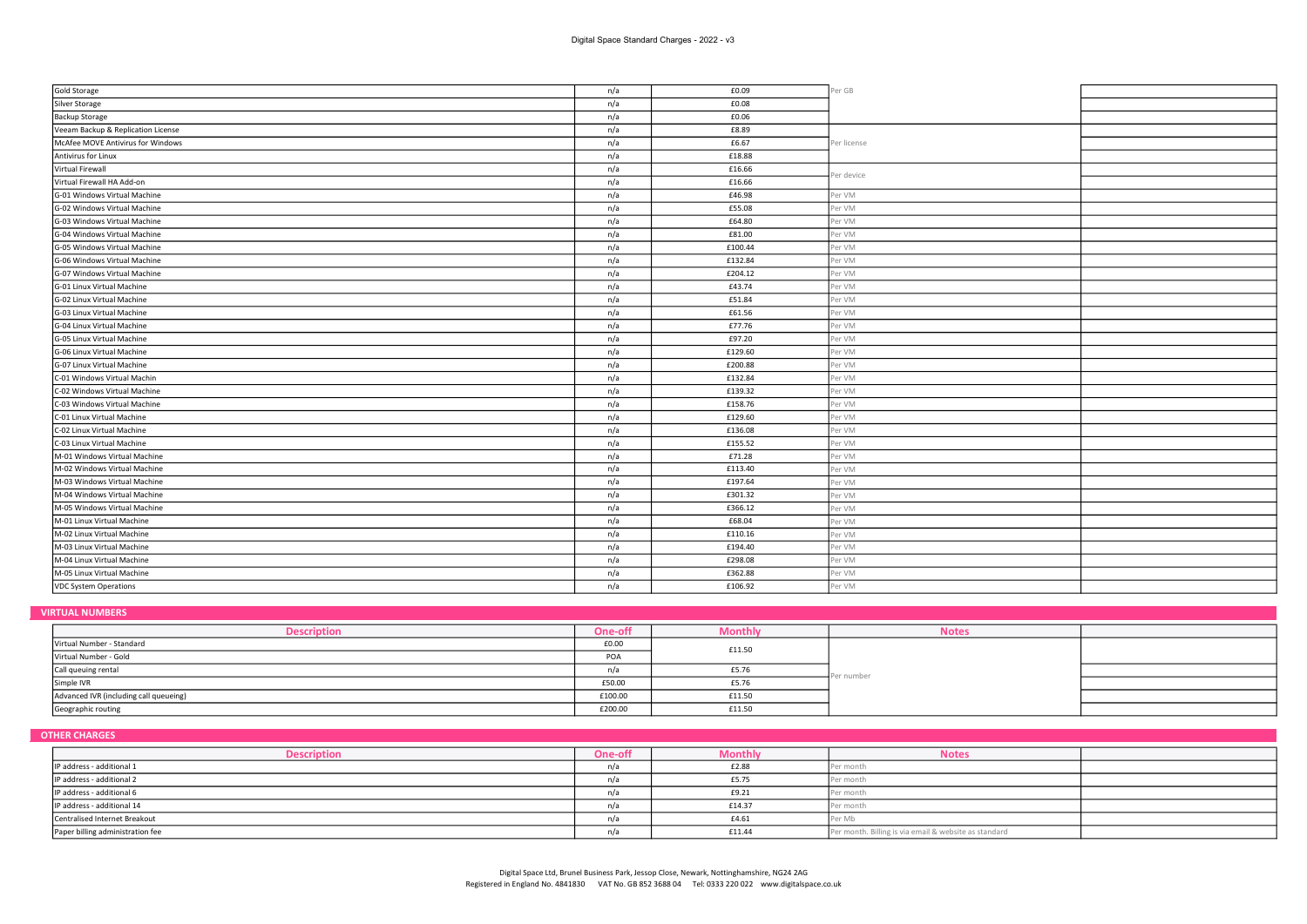| Gold Storage                       | n/a | £0.09   | Per GB      |  |
|------------------------------------|-----|---------|-------------|--|
| Silver Storage                     | n/a | £0.08   |             |  |
| <b>Backup Storage</b>              | n/a | £0.06   |             |  |
| Veeam Backup & Replication License | n/a | £8.89   |             |  |
| McAfee MOVE Antivirus for Windows  | n/a | £6.67   | Per license |  |
| Antivirus for Linux                | n/a | £18.88  |             |  |
| Virtual Firewall                   | n/a | £16.66  | Per device  |  |
| Virtual Firewall HA Add-on         | n/a | £16.66  |             |  |
| G-01 Windows Virtual Machine       | n/a | £46.98  | Per VM      |  |
| G-02 Windows Virtual Machine       | n/a | £55.08  | Per VM      |  |
| G-03 Windows Virtual Machine       | n/a | £64.80  | Per VM      |  |
| G-04 Windows Virtual Machine       | n/a | £81.00  | Per VM      |  |
| G-05 Windows Virtual Machine       | n/a | £100.44 | Per VM      |  |
| G-06 Windows Virtual Machine       | n/a | £132.84 | Per VM      |  |
| G-07 Windows Virtual Machine       | n/a | £204.12 | Per VM      |  |
| G-01 Linux Virtual Machine         | n/a | £43.74  | Per VM      |  |
| G-02 Linux Virtual Machine         | n/a | £51.84  | Per VM      |  |
| G-03 Linux Virtual Machine         | n/a | £61.56  | Per VM      |  |
| G-04 Linux Virtual Machine         | n/a | £77.76  | Per VM      |  |
| G-05 Linux Virtual Machine         | n/a | £97.20  | Per VM      |  |
| G-06 Linux Virtual Machine         | n/a | £129.60 | Per VM      |  |
| G-07 Linux Virtual Machine         | n/a | £200.88 | Per VM      |  |
| C-01 Windows Virtual Machin        | n/a | £132.84 | Per VM      |  |
| C-02 Windows Virtual Machine       | n/a | £139.32 | Per VM      |  |
| C-03 Windows Virtual Machine       | n/a | £158.76 | Per VM      |  |
| C-01 Linux Virtual Machine         | n/a | £129.60 | Per VM      |  |
| C-02 Linux Virtual Machine         | n/a | £136.08 | Per VM      |  |
| C-03 Linux Virtual Machine         | n/a | £155.52 | Per VM      |  |
| M-01 Windows Virtual Machine       | n/a | £71.28  | Per VM      |  |
| M-02 Windows Virtual Machine       | n/a | £113.40 | Per VM      |  |
| M-03 Windows Virtual Machine       | n/a | £197.64 | Per VM      |  |
| M-04 Windows Virtual Machine       | n/a | £301.32 | Per VM      |  |
| M-05 Windows Virtual Machine       | n/a | £366.12 | Per VM      |  |
| M-01 Linux Virtual Machine         | n/a | £68.04  | Per VM      |  |
| M-02 Linux Virtual Machine         | n/a | £110.16 | Per VM      |  |
| M-03 Linux Virtual Machine         | n/a | £194.40 | Per VM      |  |
| M-04 Linux Virtual Machine         | n/a | £298.08 | Per VM      |  |
| M-05 Linux Virtual Machine         | n/a | £362.88 | Per VM      |  |
| <b>VDC System Operations</b>       | n/a | £106.92 | Per VM      |  |
|                                    |     |         |             |  |

# VIRTUAL NUMBERS

| <b>Descriptior</b>                     | One-off | Monthly | <b>Notes</b> |  |
|----------------------------------------|---------|---------|--------------|--|
| Virtual Number - Standard              | £0.00   | £11.50  | Per number   |  |
| Virtual Number - Gold                  | POA     |         |              |  |
| Call queuing rental                    |         | £5.76   |              |  |
| Simple IVR                             | £50.00  | £5.76   |              |  |
| Advanced IVR (including call queueing) | £100.00 | £11.50  |              |  |
| Geographic routing                     | £200.00 | £11.50  |              |  |

# OTHER CHARGES

| <b>Description</b>               | One-off | Monthly | <b>Notes</b>                                          |  |
|----------------------------------|---------|---------|-------------------------------------------------------|--|
| IP address - additional 1        |         | £2.88   | Per month                                             |  |
| IP address - additional 2        |         | £5.75   | Per month                                             |  |
| IP address - additional 6        |         | £9.21   | month<br>'er i                                        |  |
| IP address - additional 14       |         | £14.37  | Per month                                             |  |
| Centralised Internet Breakout    |         | £4.61   | Per Mb                                                |  |
| Paper billing administration fee |         | £11.44  | Per month. Billing is via email & website as standard |  |